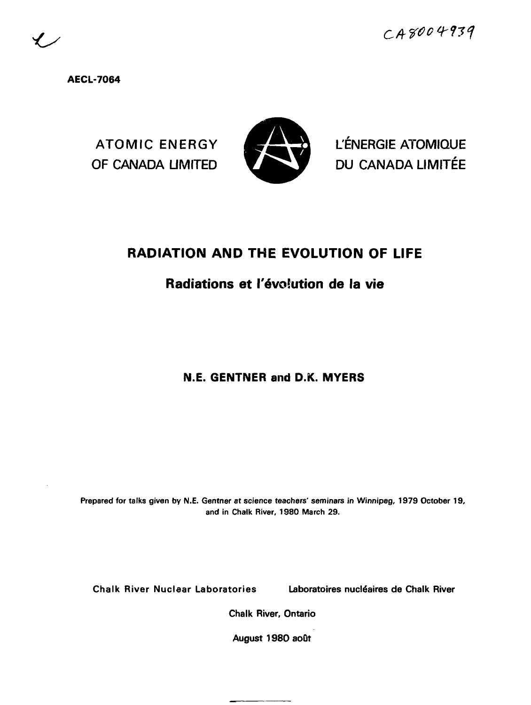**AECL-7064**



ATOMIC ENERGY **A HULLIC L'ÉNERGIE ATOMIQUE** OF CANADA LIMITED **DU CANADA LIMITÉE** 

# **RADIATION AND THE EVOLUTION OF LIFE**

# **Radiations et l'évolution de la vie**

# **N.E. GENTNER and D.K. MYERS**

**Prepared for talks given by N.E. Gentner at science teachers' seminars in Winnipeg, 1979 October 19, and in Chalk River, 1980 March 29.**

Chalk River Nuclear Laboratories Laboratoires nucléaires de Chalk River

Chalk River, Ontario

August 1980 août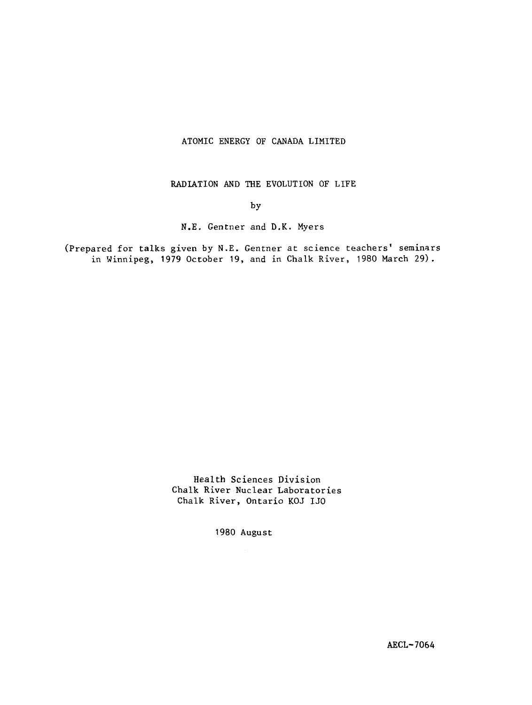# ATOMIC ENERGY OF CANADA LIMITED

RADIATION AND THE EVOLUTION OF LIFE

# by

# N.E. Gentner and D.K. Myers

(Prepared for talks given by N.E. Gentner at science teachers' seminars in Winnipeg, 1979 October 19, and in Chalk River, 1980 March 29).

> Health Sciences Division Chalk River Nuclear Laboratories Chalk River, Ontario KOJ IJO

> > 1980 August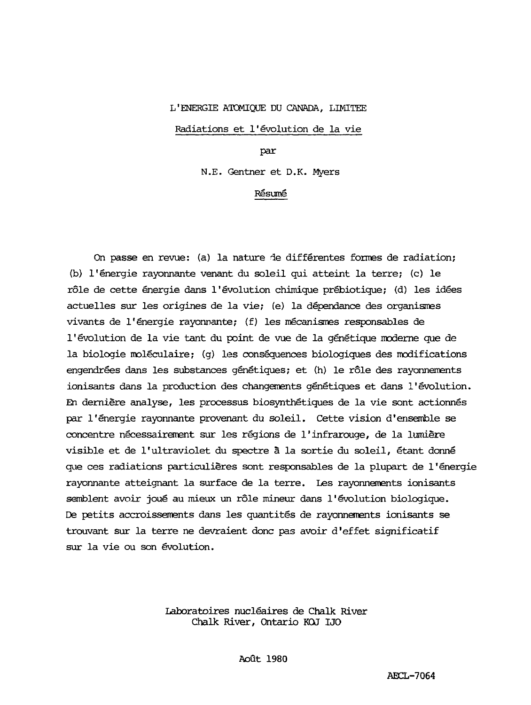# L'ENERGIE ATOMIQUE DU CANADA, LIMITEE

# Radiations et l'évolution de la vie

par

N.E. Gentner et D.K. Myers

# Résumé

On passe en revue: (a) la nature de différentes formes de radiation; (b) l'énergie rayonnante venant du soleil qui atteint la terre; (c) le rôle de cette énergie dans l'évolution chimique prébiotique; (d) les idées actuelles sur les origines de la vie; (e) la dépendance des organismes vivants de l'énergie rayonnante; (f) les mécanismes responsables de l'évolution de la vie tant du point de vue de la génétique moderne que de la biologie moléculaire; (g) les conséquences biologiques des modifications engendrées dans les substances génétiques; et (h) le rôle des rayonnements ionisants dans la production des changements génétiques et dans l'évolution. En dernière analyse, les processus biosynthétiques de la vie sont actionnés par l'énergie rayonnante provenant du soleil. Cette vision d'ensemble se concentre nécessairement sur les régions de l'infrarouge, de la lumière visible et de l'ultraviolet du spectre à la sortie du soleil, étant donné que ces radiations particulières sont responsables de la plupart de l'énergie rayonnante atteignant la surface de la terre. Les rayonnements ionisants semblent avoir joué au mieux un rôle mineur dans l'évolution biologique. De petits accroissements dans les quantités de rayonnements ionisants se trouvant sur la terre ne devraient donc pas avoir d'effet significatif sur la vie ou son évolution.

> Laboratoires nucléaires de Chalk River Chalk River, Ontario KOJ IJO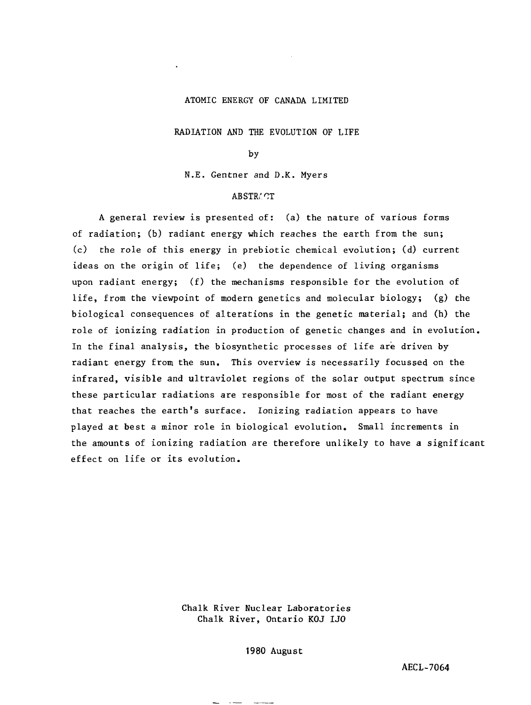#### ATOMIC ENERGY OF CANADA LIMITED

RADIATION AND THE EVOLUTION OF LIFE

by

N.E. Gentner and D.K. Myers

# **ABSTRACT**

A general review is presented of: (a) the nature of various forms of radiation; (b) radiant energy which reaches the earth from the sun; (c) the role of this energy in prebiotic chemical evolution; (d) current ideas on the origin of life; (e) the dependence of living organisms upon radiant energy; (f) the mechanisms responsible for the evolution of life, from the viewpoint of modern genetics and molecular biology; (g) the biological consequences of alterations in the genetic material; and (h) the role of ionizing radiation in production of genetic changes and in evolution. In the final analysis, the biosynthetic processes of life are driven by radiant energy from the sun. This overview is necessarily focussed on the infrared, visible and ultraviolet regions of the solar output spectrum since these particular radiations are responsible for most of the radiant energy that reaches the earth's surface. Ionizing radiation appears to have played at best a minor role in biological evolution. Small increments in the amounts of ionizing radiation are therefore unlikely to have a significant effect on life or its evolution.

> Chalk River Nuclear Laboratories Chalk River, Ontario KOJ LJO

> > 1980 August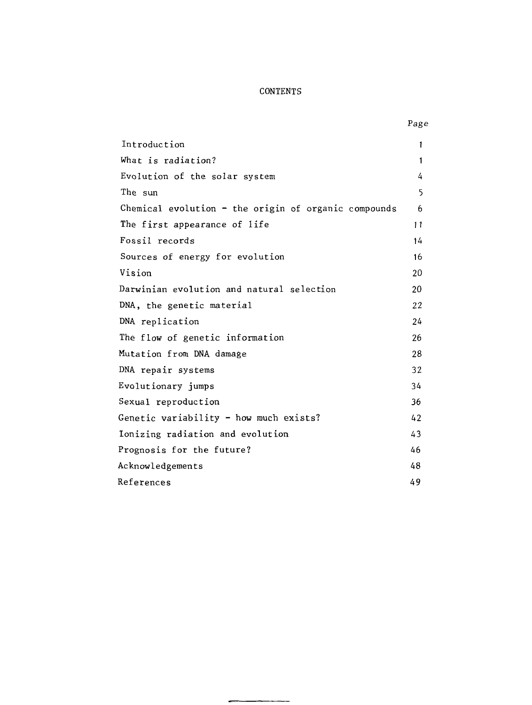# CONTENTS

| Introduction                                           | 1            |
|--------------------------------------------------------|--------------|
| What is radiation?                                     | $\mathbf{1}$ |
| Evolution of the solar system                          | 4            |
| The sun                                                | 5            |
| Chemical evolution $-$ the origin of organic compounds | 6            |
| The first appearance of life                           | 11           |
| Fossil records                                         | 14           |
| Sources of energy for evolution                        | 16           |
| Vision                                                 | 20           |
| Darwinian evolution and natural selection              | 20           |
| DNA, the genetic material                              | 22           |
| DNA replication                                        | 24           |
| The flow of genetic information                        | 26           |
| Mutation from DNA damage                               | 28           |
| DNA repair systems                                     | 32           |
| Evolutionary jumps                                     | 34           |
| Sexual reproduction                                    | 36           |
| Genetic variability - how much exists?                 | 42           |
| Ionizing radiation and evolution                       | 43           |
| Prognosis for the future?                              | 46           |
| Acknowledgements                                       | 48           |
| References                                             | 49           |

 $\overline{a}$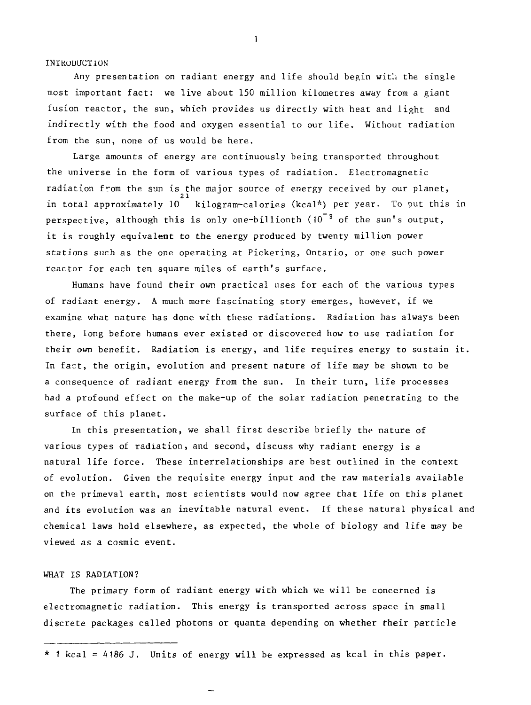#### INTRODUCTION

Any presentation on radiant energy and life should begin with the single most important fact: we live about 150 million kilometres away from a giant fusion reactor, the sun, which provides us directly with heat and light and indirectly with the food and oxygen essential to our life. Without radiation from the sun, none of us would be here.

Large amounts of energy are continuously being transported throughout the universe in the form of various types of radiation. Electromagnetic radiation from the sun is the major source of energy received by our planet,  $\overline{a}$ in total approximately 10 kilogram-calories (kcal\*) per year. To put this in perspective, although this is only one-billionth (10 <sup>3</sup> of the sun's output, it is roughly equivalent to the energy produced by twenty million power stations such as the one operating at Pickering, Ontario, or one such power reactor for each ten square miles of earth's surface.

Humans have found their own practical uses for each of the various types of radiant energy. A much more fascinating story emerges, however, if we examine what nature has done with these radiations. Radiation has always been there, long before humans ever existed or discovered how to use radiation for their own benefit. Radiation is energy, and life requires energy to sustain it. In fact, the origin, evolution and present nature of life may be shown to be a consequence of radiant energy from the sun. In their turn, life processes had a profound effect on the make-up of the solar radiation penetrating to the surface of this planet.

In this presentation, we shall first describe briefly the nature of various types of radiation, and second, discuss why radiant energy is a natural life force. These interrelationships are best outlined in the context of evolution. Given the requisite energy input and the raw materials available on the primeval earth, most scientists would now agree that life on this planet and its evolution was an inevitable natural event. If these natural physical and chemical laws hold elsewhere, as expected, the whole of biology and life may be viewed as a cosmic event.

#### WHAT IS RADIATION?

The primary form of radiant energy with which we will be concerned is electromagnetic radiation. This energy is transported across space in small discrete packages called photons or quanta depending on whether their particle

\* 1 kcal = 4186 J. Units of energy will be expressed as kcal in this paper.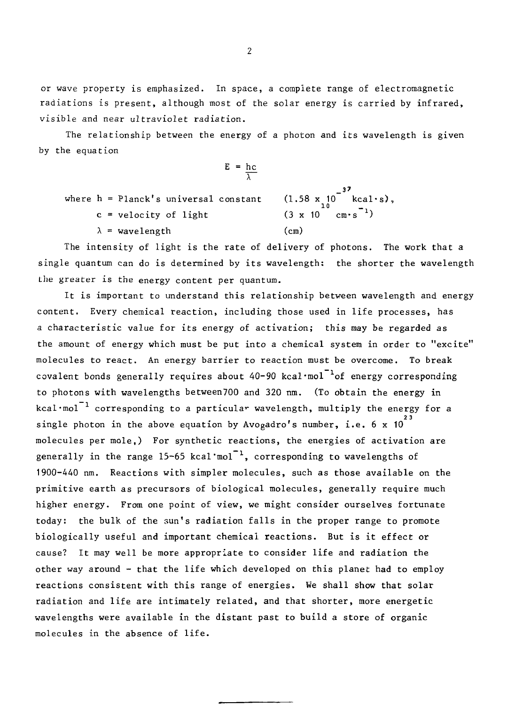or wave property is emphasized. In space, a complete range of electromagnetic radiations is present, although most of the solar energy is carried by infrared, visible and near ultraviolet radiation.

The relationship between the energy of a photon and its wavelength is given by the equation

$$
E = \frac{hc}{\lambda}
$$
  
's universal constant (1.5)

where  $h =$ Planck's universal constant  $(1.58 \times 10^{16} \text{ kcal·s}),$ c = velocity of light (3 x 10 enrs )  $\sqrt{cm}$ 

The intensity of light is the rate of delivery of photons. The work that a single quantum can do is determined by its wavelength: the shorter the wavelength the greater is the energy content per quantum.

It is important to understand this relationship between wavelength and energy content. Every chemical reaction, including those used in life processes, has a characteristic value for its energy of activation; this may be regarded as the amount of energy which must be put into a chemical system in order to "excite" molecules to react. An energy barrier to reaction must be overcome. To break covalent bonds generally requires about 40-90 kcal'mol covalent bonds generally requires about 40-90 kcal·mol<sup>-1</sup>of energy corresponding to photons with wavelengths between700 and 320 ran. (To obtain the energy in  $k$ cal-mol  $kcal$   $\text{mol}^{-1}$  corresponding to a particular wavelength, multiply the energy for a molecules per mole,) For synthetic reactions, the energies of activation are generally in the range 15-65 kcal mol<sup>-1</sup>, corresponding to wavelengths of 1900-440 nm. Reactions with simpler molecules, such as those available primitive earth as precursors of biological molecules, generally require much higher energy. From one point of view, we might consider ourselves fortunate today: the bulk of the sun's radiation falls in the proper range to promote biologically useful and important chemical reactions. But is it effect or cause? It may well be more appropriate to consider life and radiation the other way around - that the life which developed on this planet had to employ reactions consistent with this range of energies. We shall show that solar radiation and life are intimately related, and that shorter, more energetic wavelengths were available in the distant past to build a store of organic molecules in the absence of life.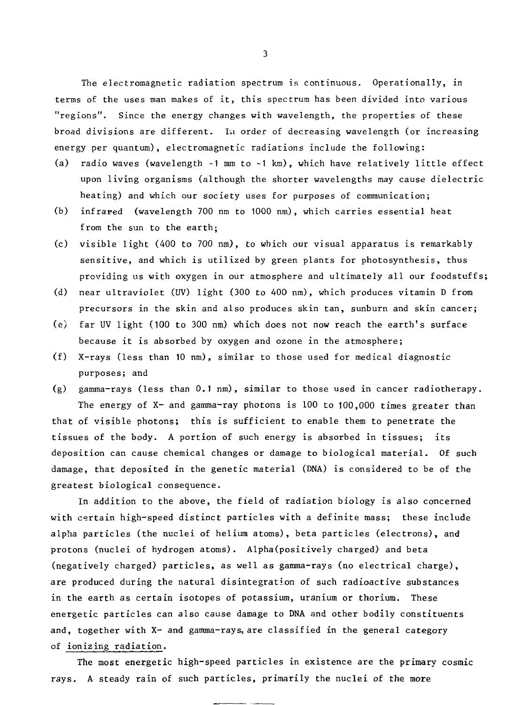The electromagnetic radiation spectrum is continuous. Operationally, in terms of the uses man makes of it, this spectrum has been divided into various "regions". Since the energy changes with wavelength, the properties of these broad divisions are different. Iu order of decreasing wavelength (or increasing energy per quantum), electromagnetic radiations include the following:

- (a) radio waves (wavelength -1 mm to -1 km), which have relatively little effect upon living organisms (although the shorter wavelengths may cause dielectric heating) and which our society uses for purposes of communication;
- (b) infrared (wavelength 700 nm to 1000 nm), which carries essential heat from the sun to the earth;
- (c) visible light (400 to 700 nm), to which our visual apparatus is remarkably sensitive, and which is utilized by green plants for photosynthesis, thus providing us with oxygen in our atmosphere and ultimately all our foodstuffs;
- (d) near ultraviolet (UV) light (300 to 400 nm), which produces vitamin D from precursors in the skin and also produces skin tan, sunburn and skin cancer;
- (e) far UV light (100 to 300 nm) which does not now reach the earth's surface because it is absorbed by oxygen and ozone in the atmosphere;
- (f) X-rays (less than 10 nm), similar to those used for medical diagnostic purposes; and

(g) gamma-rays (less than 0.1 nm), similar to those used in cancer radiotherapy. The energy of X- and gamma-ray photons is 100 to 100,000 times greater than that of visible photons; this is sufficient to enable them to penetrate the tissues of the body. A portion of such energy is absorbed in tissues; its deposition can cause chemical changes or damage to biological material. Of such damage, that deposited in the genetic material (DNA) is considered to be of the greatest biological consequence.

In addition to the above, the field of radiation biology is also concerned with certain high-speed distinct particles with a definite mass; these include alpha particles (the nuclei of helium atoms), beta particles (electrons), and protons (nuclei of hydrogen atoms). Alpha(positively charged) and beta (negatively charged) particles, as well as gamma-rays (no electrical charge), are produced during the natural disintegration of such radioactive substances in the earth as certain isotopes of potassium, uranium or thorium. These energetic particles can also cause damage to DNA and other bodily constituents and, together with X- and gamma-rays, are classified in the general category of ionizing radiation.

The most energetic high-speed particles in existence are the primary cosmic rays. A steady rain of such particles, primarily the nuclei of the more

 $3<sup>1</sup>$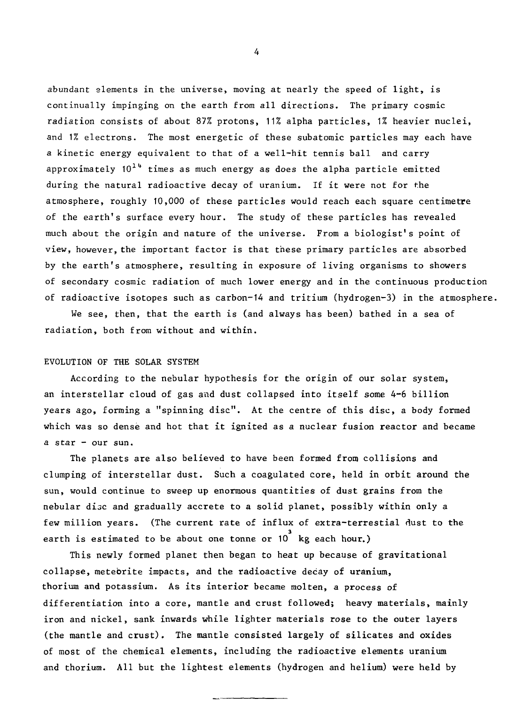abundant elements in the universe, moving at nearly the speed of light, is continually impinging on the earth from all directions. The primary cosmic radiation consists of about 87% protons, 11% alpha particles, 1% heavier nuclei, and 1% electrons. The most energetic of these subatomic particles may each have a kinetic energy equivalent to that of a well-hit tennis ball and carry approximately  $10^{14}$  times as much energy as does the alpha particle emitted during the natural radioactive decay of uranium. If it were not for the atmosphere, roughly 10,000 of these particles would reach each square centimetre of the earth's surface every hour. The study of these particles has revealed much about the origin and nature of the universe. From a biologist's point of view, however, the important factor is that these primary particles are absorbed by the earth's atmosphere, resulting in exposure of living organisms to showers of secondary cosmic radiation of much lower energy and in the continuous production of radioactive isotopes such as carbon-14 and tritium (hydrogen-3) in the atmosphere.

We see, then, that the earth is (and always has been) bathed in a sea of radiation, both from without and within.

#### EVOLUTION OF THE SOLAR SYSTEM

According to the nebular hypothesis for the origin of our solar system, an interstellar cloud of gas and dust collapsed into itself some 4-6 billion years ago, forming a "spinning disc". At the centre of this disc, a body formed which was so dense and hot that it ignited as a nuclear fusion reactor and became a star - our sun.

The planets are also believed to have been formed from collisions and clumping of interstellar dust. Such a coagulated core, held in orbit around the sun, would continue to sweep up enormous quantities of dust grains from the nebular disc and gradually accrete to a solid planet, possibly within only a few million years. (The current rate of influx of extra-terrestial dust to the earth is estimated to be about one tonne or 10<sup>'</sup> kg each hour.)

This newly formed planet then began to heat up because of gravitational collapse, meteorite impacts, and the radioactive decay of uranium, thorium and potassium. As its interior became molten, a process of differentiation into a core, mantle and crust followed; heavy materials, mainly iron and nickel, sank inwards while lighter materials rose to the outer layers (the mantle and crust). The mantle consisted largely of silicates and oxides of most of the chemical elements, including the radioactive elements uranium and thorium. All but the lightest elements (hydrogen and helium) were held by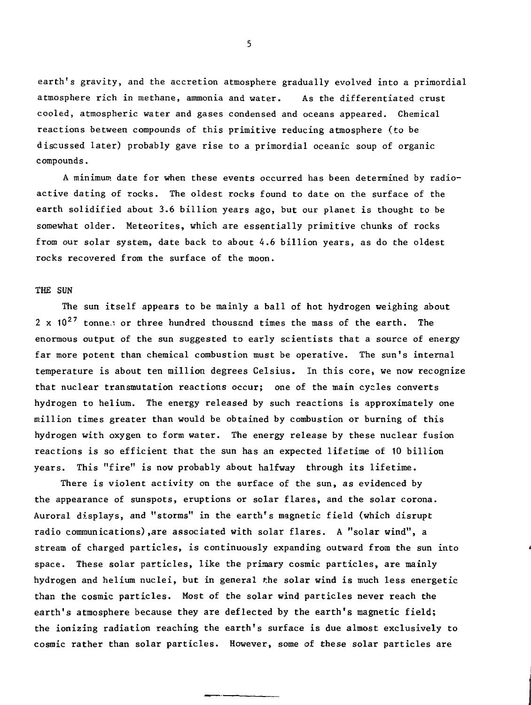earth's gravity, and the accretion atmosphere gradually evolved into a primordial atmosphere rich in methane, ammonia and water. As the differentiated crust cooled, atmospheric water and gases condensed and oceans appeared. Chemical reactions between compounds of this primitive reducing atmosphere (to be discussed later) probably gave rise to a primordial oceanic soup of organic compounds.

A minimum date for when these events occurred has been determined by radioactive dating of rocks. The oldest rocks found to date on the surface of the earth solidified about 3.6 billion years ago, but our planet is thought to be somewhat older. Meteorites, which are essentially primitive chunks of rocks from our solar system, date back to about 4.6 billion years, as do the oldest rocks recovered from the surface of the moon.

#### THE SUN

The sun itself appears to be mainly a ball of hot hydrogen weighing about 2 x  $10^{27}$  tonnes or three hundred thousand times the mass of the earth. The enormous output of the sun suggested to early scientists that a source of energy far more potent than chemical combustion must be operative. The sun's internal temperature is about ten million degrees Celsius. In this core, we now recognize that nuclear transmutation reactions occur; one of the main cycles converts hydrogen to helium. The energy released by such reactions is approximately one million times greater than would be obtained by combustion or burning of this hydrogen with oxygen to form water. The energy release by these nuclear fusion reactions is so efficient that the sun has an expected lifetime of 10 billion years. This "fire" is now probably about halfway through its lifetime.

There is violent activity on the surface of the sun, as evidenced by the appearance of sunspots, eruptions or solar flares, and the solar corona. Auroral displays, and "storms" in the earth's magnetic field (which disrupt radio communications),are associated with solar flares. A "solar wind", a stream of charged particles, is continuously expanding outward from the sun into space. These solar particles, like the primary cosmic particles, are mainly hydrogen and helium nuclei, but in general the solar wind is much less energetic than the cosmic particles. Most of the solar wind particles never reach the earth's atmosphere because they are deflected by the earth's magnetic field; the ionizing radiation reaching the earth's surface is due almost exclusively to cosmic rather than solar particles. However, some of these solar particles are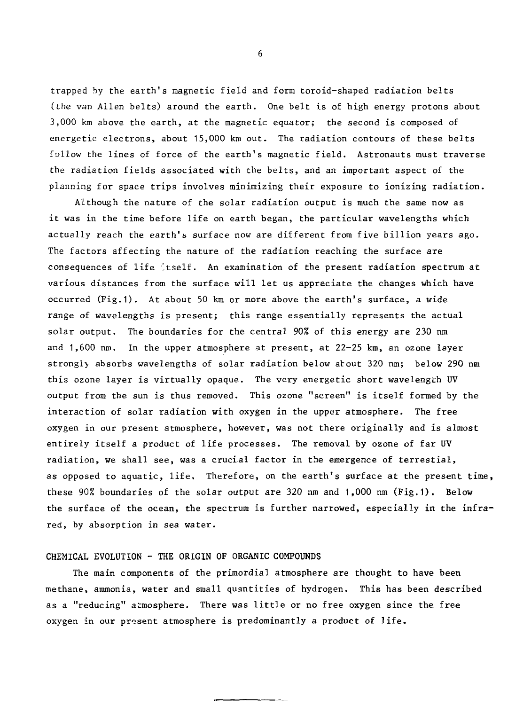trapped by the earth's magnetic field and form toroid-shaped radiation belts (the van Allen belts) around the earth. One belt is of high energy protons about 3,000 km above the earth, at the magnetic equator; the second is composed of energetic electrons, about 15,000 km out. The radiation contours of these belts follow the lines of force of the earth's magnetic field. Astronauts must traverse the radiation fields associated with the belts, and an important aspect of the planning for space trips involves minimizing their exposure to ionizing radiation.

Although the nature of the solar radiation output is much the same now as it was in the time before life on earth began, the particular wavelengths which actually reach the earth's surface now are different from five billion years ago. The factors affecting the nature of the radiation reaching the surface are consequences of life 'Itself. An examination of the present radiation spectrum at various distances from the surface will let us appreciate the changes which have occurred (Fig.1). At about 50 km or more above the earth's surface, a wide range of wavelengths is present; this range essentially represents the actual solar output. The boundaries for the central 90% of this energy are 230 nm and 1,600 nm. In the upper atmosphere at present, at 22-25 km, an ozone layer strongl} absorbs wavelengths of solar radiation below about 320 nm; below 290 nm this ozone layer is virtually opaque. The very energetic short wavelength UV output from the sun is thus removed. This ozone "screen" is itself formed by the interaction of solar radiation with oxygen in the upper atmosphere. The free oxygen in our present atmosphere, however, was not there originally and is almost entirely itself a product of life processes. The removal by ozone of far UV radiation, we shall see, was a crucial factor in the emergence of terrestial, as opposed to aquatic, life. Therefore, on the earth's surface at the present time, these 90% boundaries of the solar output are 320 nm and 1,000 nm (Fig.1). Below the surface of the ocean, the spectrum is further narrowed, especially in the infrared, by absorption in sea water.

# CHEMICAL EVOLUTION - THE ORIGIN OF ORGANIC COMPOUNDS

The main components of the primordial atmosphere are thought to have been methane, ammonia, water and small quantities of hydrogen. This has been described as a "reducing" atmosphere. There was little or no free oxygen since the free oxygen in our present atmosphere is predominantly a product of life.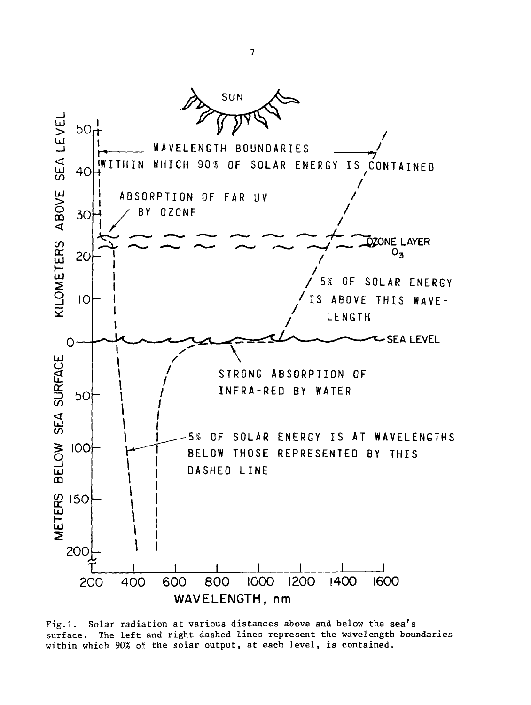

Fig.1. Solar radiation at various distances above and below the sea's surface. The left and right dashed lines represent the wavelength boundaries within which 90% of the solar output, at each level, is contained.

 $\overline{z}$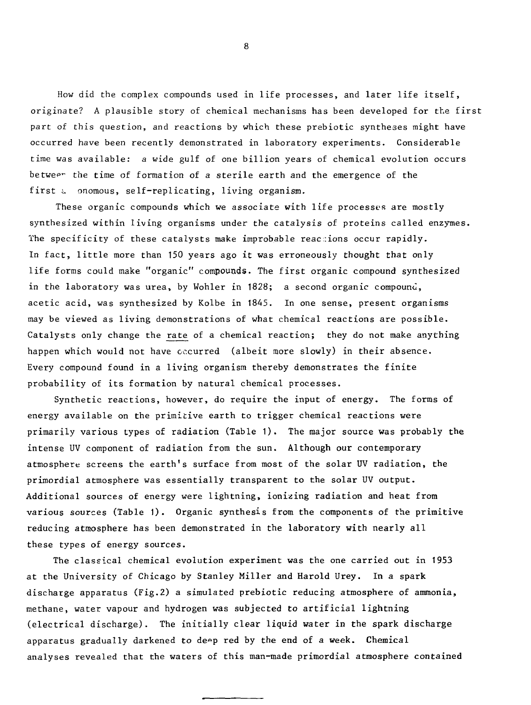How did the complex compounds used in life processes, and later life itself, originate? A plausible story of chemical mechanisms has been developed for the first part of this question, and reactions by which these prebiotic syntheses might have occurred have been recently demonstrated in laboratory experiments. Considerable time was available: a wide gulf of one billion years of chemical evolution occurs betweer the time of formation of a sterile earth and the emergence of the first a onomous, self-replicating, living organism.

These organic compounds which we associate with life processes are mostly synthesized within living organisms under the catalysis of proteins called enzymes. The specificity of these catalysts make improbable reactions occur rapidly. In fact, little more than 150 years ago it was erroneously thought that only life forms could make "organic" compounds. The first organic compound synthesized in the laboratory was urea, by Wohler in 1828; a second organic compound, acetic acid, was synthesized by Kolbe in 1845. In one sense, present organisms may be viewed as living demonstrations of what chemical reactions are possible. Catalysts only change the rate of a chemical reaction; they do not make anything happen which would not have occurred (albeit more slowly) in their absence. Every compound found in a living organism thereby demonstrates the finite probability of its formation by natural chemical processes.

Synthetic reactions, however, do require the input of energy. The forms of energy available on the primitive earth to trigger chemical reactions were primarily various types of radiation (Table 1). The major source was probably the intense UV component of radiation from the sun. Although our contemporary atmosphere screens the earth's surface from most of the solar UV radiation, the primordial atmosphere was essentially transparent to the solar UV output. Additional sources of energy were lightning, ionizing radiation and heat from various sources (Table 1). Organic synthesis from the components of the primitive reducing atmosphere has been demonstrated in the laboratory with nearly all these types of energy sources.

The classical chemical evolution experiment was the one carried out in 1953 at the University of Chicago by Stanley Miller and Harold Urey. In a spark discharge apparatus (Fig.2) a simulated prebiotic reducing atmosphere of ammonia, methane, water vapour and hydrogen was subjected to artificial lightning (electrical discharge). The initially clear liquid water in the spark discharge apparatus gradually darkened to de»p red by the end of a week. Chemical analyses revealed that the waters of this man-made primordial atmosphere contained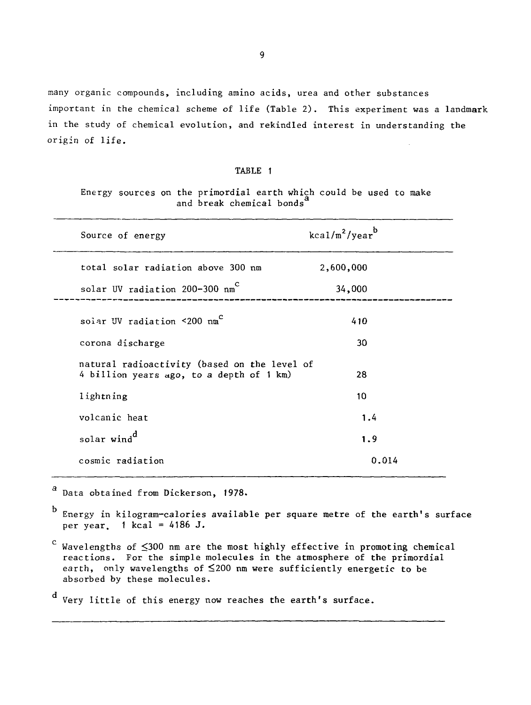many organic compounds, including amino acids, urea and other substances important in the chemical scheme of life (Table 2). This experiment was a landmark in the study of chemical evolution, and rekindled interest in understanding the origin of life.

# TABLE 1

Energy sources on the primordial earth which could be used to make and break chemical bonds

| Source of energy                                                                         | $kca1/m^2/year^b$ |  |
|------------------------------------------------------------------------------------------|-------------------|--|
| total solar radiation above 300 nm                                                       | 2,600,000         |  |
| solar UV radiation 200-300 nm <sup>c</sup>                                               | 34,000            |  |
| solar UV radiation <200 nm <sup>c</sup>                                                  | 410               |  |
| corona discharge                                                                         | 30                |  |
| natural radioactivity (based on the level of<br>4 billion years ago, to a depth of 1 km) | 28                |  |
| lightning                                                                                | 10                |  |
| volcanic heat                                                                            | 1.4               |  |
| solar wind <sup>d</sup>                                                                  | 1.9               |  |
| cosmic radiation                                                                         | 0.014             |  |

a Data obtained from Dickerson, 1978.

Energy in kilogram-calories available per square metre of the earth's surface per year.  $1$  kcal = 4186 J.

 $\text{c}$  Wavelengths of  $\leq$ 300 nm are the most highly effective in promoting chemical reactions. For the simple molecules in the atmosphere of the primordial earth, only wavelengths of  $\leq 200$  nm were sufficiently energetic to be absorbed by these molecules.

Very little of this energy now reaches the earth's surface.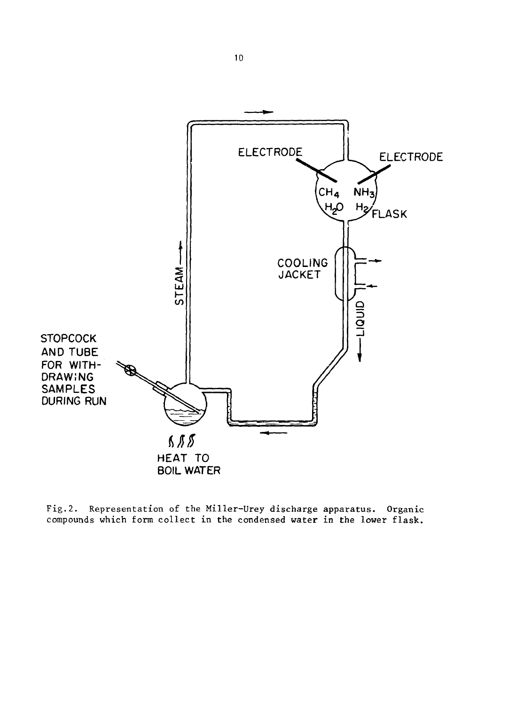

Fig.2. Representation of the Miller-Urey discharge apparatus. Organic compounds which form collect in the condensed water in the lower flask.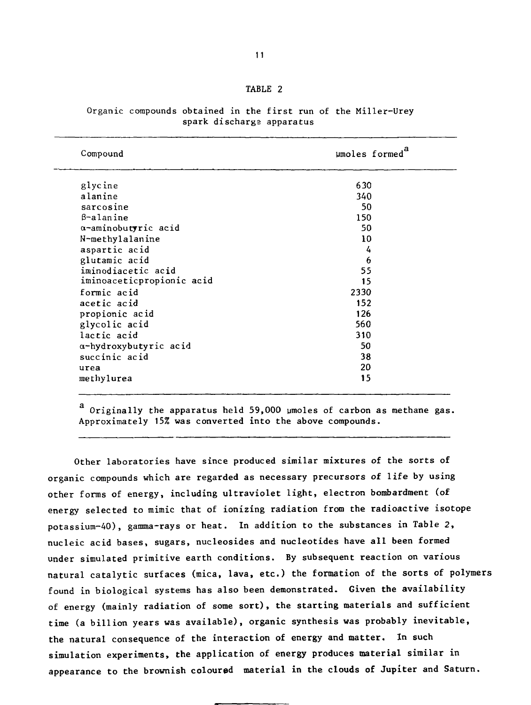| Compound                  | umoles formed <sup>a</sup> |
|---------------------------|----------------------------|
| glycine                   | 630                        |
| alanine                   | 340                        |
| sarcosine                 | 50                         |
| $\beta$ -alanine          | 150                        |
| a-aminobutyric acid       | 50                         |
| N-methylalanine           | 10                         |
| aspartic acid             | 4                          |
| glutamic acid             | 6                          |
| iminodiacetic acid        | 55                         |
| iminoaceticpropionic acid | 15                         |
| formic acid               | 2330                       |
| acetic acid               | 152                        |
| propionic acid            | 126                        |
| glycolic acid             | 560                        |
| lactic acid               | 310                        |
| a-hydroxybutyric acid     | 50                         |
| succinic acid             | 38                         |
| urea                      | 20                         |
| methylurea                | 15                         |

Organic compounds obtained in the first run of the Miller-Urey spark discharga apparatus

a Originally the apparatus held 59,000 umoles of carbon as methane gas. Approximately 15% was converted into the above compounds.

Other laboratories have since produced similar mixtures of the sorts of organic compounds which are regarded as necessary precursors of life by using other forms of energy, including ultraviolet light, electron bombardment (of energy selected to mimic that of ionizing radiation from the radioactive isotope potassium-40), gamma-rays or heat. In addition to the substances in Table 2, nucleic acid bases, sugars, nucleosides and nucleotides have all been formed under simulated primitive earth conditions. By subsequent reaction on various natural catalytic surfaces (mica, lava, etc.) the formation of the sorts of polymers found in biological systems has also been demonstrated. Given the availability of energy (mainly radiation of some sort), the starting materials and sufficient time (a billion years was available), organic synthesis was probably inevitable, the natural consequence of the interaction of energy and matter. In such simulation experiments, the application of energy produces material similar in appearance to the brownish coloured material in the clouds of Jupiter and Saturn.

# TABLE 2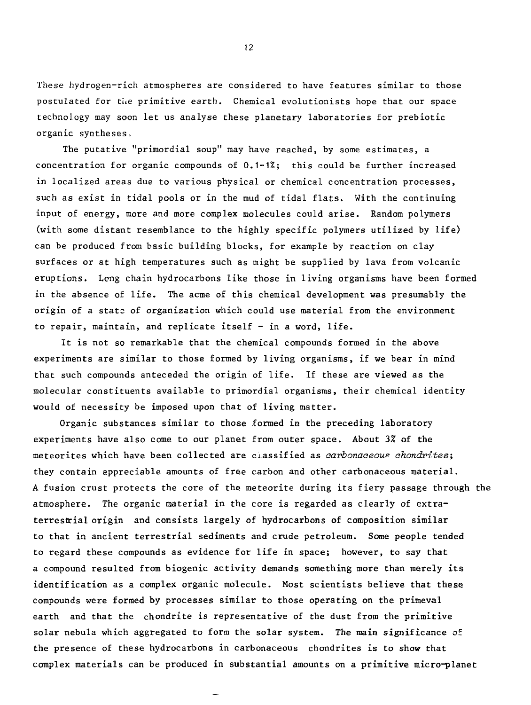These hydrogen-rich atmospheres are considered to have features similar to those postulated for the primitive earth. Chemical evolutionists hope that our space technology may soon let us analyse these planetary laboratories for prebiotic organic syntheses.

The putative "primordial soup" may have reached, by some estimates, a concentration for organic compounds of 0.1-1%; this could be further increased in localized areas due to various physical or chemical concentration processes, such as exist in tidal pools or in the mud of tidal flats. With the continuing input of energy, more and more complex molecules could arise. Random polymers (with some distant resemblance to the highly specific polymers utilized by life) can be produced from basic building blocks, for example by reaction on clay surfaces or at high temperatures such as might be supplied by lava from volcanic eruptions. Long chain hydrocarbons like those in living organisms have been formed in the absence of life. The acme of this chemical development was presumably the origin of a state of organization which could use material from the environment to repair, maintain, and replicate itself - in a word, life.

It is not so remarkable that the chemical compounds formed in the above experiments are similar to those formed by living organisms, if we bear in mind that such compounds anteceded the origin of life. If these are viewed as the molecular constituents available to primordial organisms, their chemical identity would of necessity be imposed upon that of living matter.

Organic substances similar to those formed in the preceding laboratory experiments have also come to our planet from outer space. About 3% of the meteorites which have been collected are classified as carbonaceous chondrites; they contain appreciable amounts of free carbon and other carbonaceous material. A fusion crust protects the core of the meteorite during its fiery passage through the atmosphere. The organic material in the core is regarded as clearly of extraterrestrial origin and consists largely of hydrocarbons of composition similar to that in ancient terrestrial sediments and crude petroleum. Some people tended to regard these compounds as evidence for life in space; however, to say that a compound resulted from biogenic activity demands something more than merely its identification as a complex organic molecule. Most scientists believe that these compounds were formed by processes similar to those operating on the primeval earth and that the chondrite is representative of the dust from the primitive solar nebula which aggregated to form the solar system. The main significance of the presence of these hydrocarbons in carbonaceous chondrites is to show that complex materials can be produced in substantial amounts on a primitive micro-planet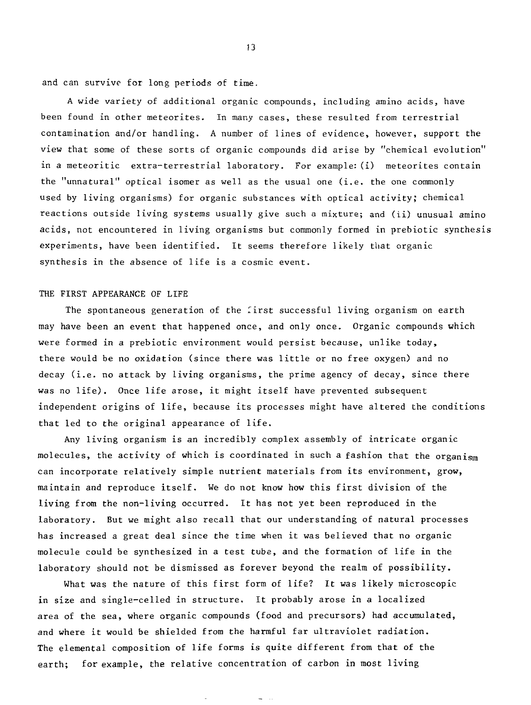and can survive for long periods of time.

A wide variety of additional organic compounds, including amino acids, have been found in other meteorites. In many cases, these resulted from terrestrial contamination and/or handling. A number of lines of evidence, however, support the view that some of these sorts of organic compounds did arise by "chemical evolution" in a meteoritic extra-terrestrial laboratory. For example: (i) meteorites contain the "unnatural" optical isomer as well as the usual one  $(i.e.$  the one commonly used by living organisms) for organic substances with optical activity; chemical reactions outside living systems usually give such a mixture; and (ii) unusual amino acids, not encountered in living organisms but commonly formed in prebiotic synthesis experiments, have been identified. It seems therefore likely that organic synthesis in the absence of life is a cosmic event.

# THE FIRST APPEARANCE OF LIFE

The spontaneous generation of the first successful living organism on earth may have been an event that happened once, and only once. Organic compounds which were formed in a prebiotic environment would persist because, unlike today, there would be no oxidation (since there was little or no free oxygen) and no decay (i.e. no attack by living organisms, the prime agency of decay, since there was no life). Once life arose, it might itself have prevented subsequent independent origins of life, because its processes might have altered the conditions that led to the original appearance of life.

Any living organism is an incredibly complex assembly of intricate organic molecules, the activity of which is coordinated in such a fashion that the organism can incorporate relatively simple nutrient materials from its environment, grow, maintain and reproduce itself. We do not know how this first division of the living from the non-living occurred. It has not yet been reproduced in the laboratory. But we might also recall that our understanding of natural processes has increased a great deal since the time when it was believed that no organic molecule could be synthesized in a test tube, and the formation of life in the laboratory should not be dismissed as forever beyond the realm of possibility.

What was the nature of this first form of life? It was likely microscopic in size and single-celled in structure. It probably arose in a localized area of the sea, where organic compounds (food and precursors) had accumulated, and where it would be shielded from the harmful far ultraviolet radiation. The elemental composition of life forms is quite different from that of the earth; for example, the relative concentration of carbon in most living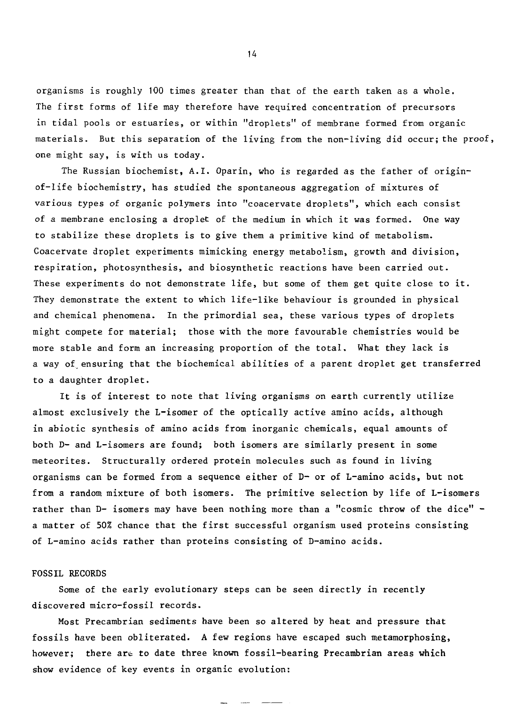organisms is roughly 100 times greater than that of the earth taken as a whole. The first forms of life may therefore have required concentration of precursors in tidal pools or estuaries, or within "droplets" of membrane formed from organic materials. But this separation of the living from the non-living did occur; the proof, one might say, is with us today.

The Russian biochemist, A.I. Oparin, who is regarded as the father of originof-life biochemistry, has studied the spontaneous aggregation of mixtures of various types of organic polymers into "coacervate droplets", which each consist of a membrane enclosing a droplet of the medium in which it was formed. One way to stabilize these droplets is to give them a primitive kind of metabolism. Coacervate droplet experiments mimicking energy metabolism, growth and division, respiration, photosynthesis, and biosynthetic reactions have been carried out. These experiments do not demonstrate life, but some of them get quite close to it. They demonstrate the extent to which life-like behaviour is grounded in physical and chemical phenomena. In the primordial sea, these various types of droplets might compete for material; those with the more favourable chemistries would be more stable and form an increasing proportion of the total. What they lack is a way of. ensuring that the biochemical abilities of a parent droplet get transferred to a daughter droplet.

It is of interest to note that living organisms on earth currently utilize almost exclusively the L-isomer of the optically active amino acids, although in abiotic synthesis of amino acids from inorganic chemicals, equal amounts of both D- and L-isomers are found; both isomers are similarly present in some meteorites. Structurally ordered protein molecules such as found in living organisms can be formed from a sequence either of D- or of L-amino acids, but not from a random mixture of both isomers. The primitive selection by life of L-isomers rather than D- isomers may have been nothing more than a "cosmic throw of the dice" a matter of 50% chance that the first successful organism used proteins consisting of L-amino acids rather than proteins consisting of D-amino acids.

# FOSSIL RECORDS

Some of the early evolutionary steps can be seen directly in recently discovered micro-fossil records.

Most Precambrian sediments have been so altered by heat and pressure that fossils have been obliterated. A few regions have escaped such metamorphosing, however; there are to date three known fossil-bearing Precambrian areas which show evidence of key events in organic evolution: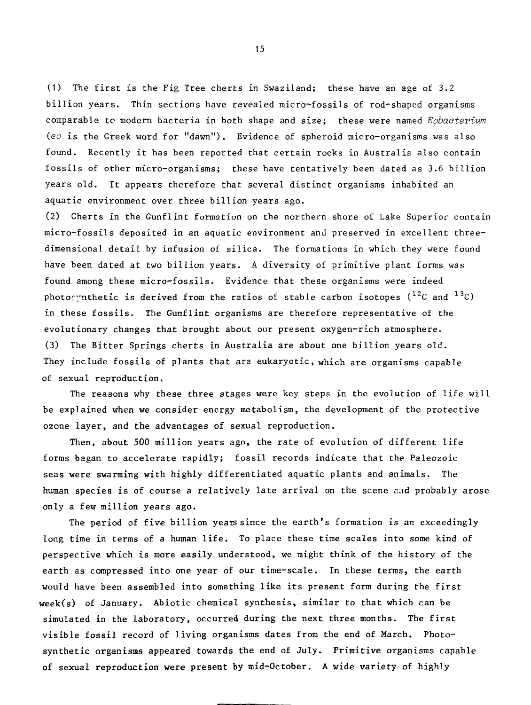(1) The first is the Fig Tree cherts in Swaziland; these have an age of 3.2 billion years. Thin sections have revealed micro-fossils of rod-shaped organisms comparable to modern bacteria in both shape and size; these were named Eobacterium (eo is the Greek word for "dawn"). Evidence of spheroid micro-organisms was also found. Recently it has been reported that certain rocks in Australia also contain fossils of other micro-organisms; these have tentatively been dated as 3.6 billion years old. It appears therefore that several distinct organisms inhabited an aquatic environment over three billion years ago.

(2) Cherts in the Gunflint formation on the northern shore of Lake Superior contain micro-fossils deposited in an aquatic environment and preserved in excellent threedimensional detail by infusion of silica. The formations in which they were found have been dated at two billion years. A diversity of primitive plant forms was found among these micro-fossils. Evidence that these organisms were indeed photomynthetic is derived from the ratios of stable carbon isotopes ( $^{12}$ C and  $^{13}$ C) in these fossils. The Gunflint organisms are therefore representative of the evolutionary changes that brought about our present oxygen-rich atmosphere. (3) The Bitter Springs cherts in Australia are about one billion years old. They include fossils of plants that are eukaryotic, which are organisms capable of sexual reproduction.

The reasons why these three stages were key steps in the evolution of life will be explained when we consider energy metabolism, the development of the protective ozone layer, and the advantages of sexual reproduction.

Then, about 500 million years ago, the rate of evolution of different life forms began to accelerate rapidly; fossil records indicate that the Paleozoic seas were swarming with highly differentiated aquatic plants and animals. The human species is of course a relatively late arrival on the scene and probably arose only a few million years ago.

The period of five billion years since the earth's formation is an exceedingly long time in terms of a human life. To place these time scales into some kind of perspective which is more easily understood, we might think of the history of the earth as compressed into one year of our time-scale. In these terms, the earth would have been assembled into something like its present form during the first week(s) of January. Abiotic chemical synthesis, similar to that which can be simulated in the laboratory, occurred during the next three months. The first visible fossil record of living organisms dates from the end of March. Photosynthetic organisms appeared towards the end of July. Primitive organisms capable of sexual reproduction were present by mid-October. A wide variety of highly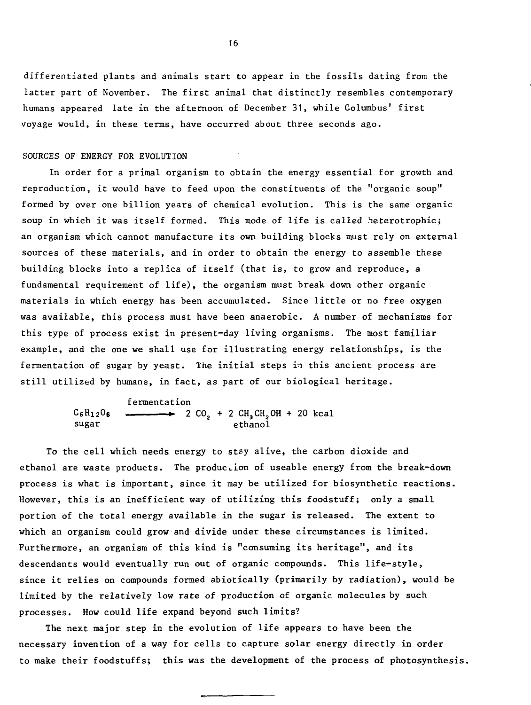differentiated plants and animals start to appear in the fossils dating from the latter part of November. The first animal that distinctly resembles contemporary humans appeared late in the afternoon of December 31, while Columbus' first voyage would, in these terms, have occurred about three seconds ago.

# SOURCES OF ENERGY FOR EVOLUTION

In order for a primal organism to obtain the energy essential for growth and reproduction, it would have to feed upon the constituents of the "organic soup" formed by over one billion years of chemical evolution. This is the same organic soup in which it was itself formed. This mode of life is called heterotrophic; an organism which cannot manufacture its own building blocks must rely on external sources of these materials, and in order to obtain the energy to assemble these building blocks into a replica of itself (that is, to grow and reproduce, a fundamental requirement of life), the organism must break down other organic materials in which energy has been accumulated. Since little or no free oxygen was available, this process must have been anaerobic. A number of mechanisms for this type of process exist in present-day living organisms. The most familiar example, and the one we shall use for illustrating energy relationships, is the fermentation of sugar by yeast. The initial steps in this ancient process are still utilized by humans, in fact, as part of our biological heritage.

> fermentation C<sup>6</sup> Hi<sup>2</sup> 0s \*. 2 C02 + 2 CH3CH2OH + 20 kcal sugar ethanol

To the cell which needs energy to stay alive, the carbon dioxide and ethanol are waste products. The production of useable energy from the break-down process is what is important, since it may be utilized for biosynthetic reactions. However, this is an inefficient way of utilizing this foodstuff; only a small portion of the total energy available in the sugar is released. The extent to which an organism could grow and divide under these circumstances is limited. Furthermore, an organism of this kind is "consuming its heritage", and its descendants would eventually run out of organic compounds. This life-style, since it relies on compounds formed abiotically (primarily by radiation), would be limited by the relatively low rate of production of organic molecules by such processes. How could life expand beyond such limits?

The next major step in the evolution of life appears to have been the necessary invention of a way for cells to capture solar energy directly in order to make their foodstuffs; this was the development of the process of photosynthesis.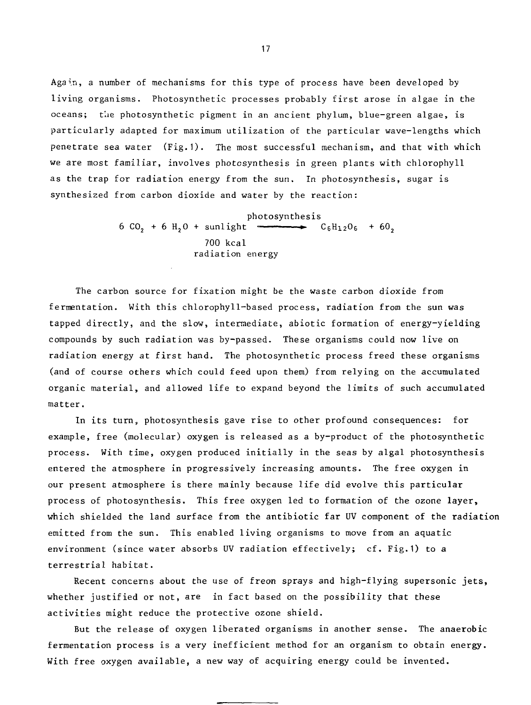Again, a number of mechanisms for this type of process have been developed by living organisms. Photosynthetic processes probably first arose in algae in the oceans; the photosynthetic pigment in an ancient phylum, blue-green algae, is particularly adapted for maximum utilization of the particular wave-lengths which penetrate sea water (Fig.1). The most successful mechanism, and that with which we are most familiar, involves photosynthesis in green plants with chlorophyll as the trap for radiation energy from the sun. In photosynthesis, sugar is synthesized from carbon dioxide and water by the reaction:

> photosynthesis<br> $C_6H_{12}O_6 + 60,$ 6 CO<sub>2</sub> + 6 H<sub>2</sub>O + sunlight  $-$ 700 kcal radiation energy

The carbon source for fixation might be the waste carbon dioxide from fermentation. With this chlorophyll-based process, radiation from the sun was tapped directly, and the slow, intermediate, abiotic formation of energy-yielding compounds by such radiation was by-passed. These organisms could now live on radiation energy at first hand. The photosynthetic process freed these organisms (and of course others which could feed upon them) from relying on the accumulated organic material, and allowed life to expand beyond the limits of such accumulated matter.

In its turn, photosynthesis gave rise to other profound consequences: for example, free (molecular) oxygen is released as a by-product of the photosynthetic process. With time, oxygen produced initially in the seas by algal photosynthesis entered the atmosphere in progressively increasing amounts. The free oxygen in our present atmosphere is there mainly because life did evolve this particular process of photosynthesis. This free oxygen led to formation of the ozone layer, which shielded the land surface from the antibiotic far UV component of the radiation emitted from the sun. This enabled living organisms to move from an aquatic environment (since water absorbs UV radiation effectively; cf. Fig.1) to a terrestrial habitat.

Recent concerns about the use of freon sprays and high-flying supersonic jets, whether justified or not, are in fact based on the possibility that these activities might reduce the protective ozone shield.

But the release of oxygen liberated organisms in another sense. The anaerobic fermentation process is a very inefficient method for an organism to obtain energy. With free oxygen available, a new way of acquiring energy could be invented.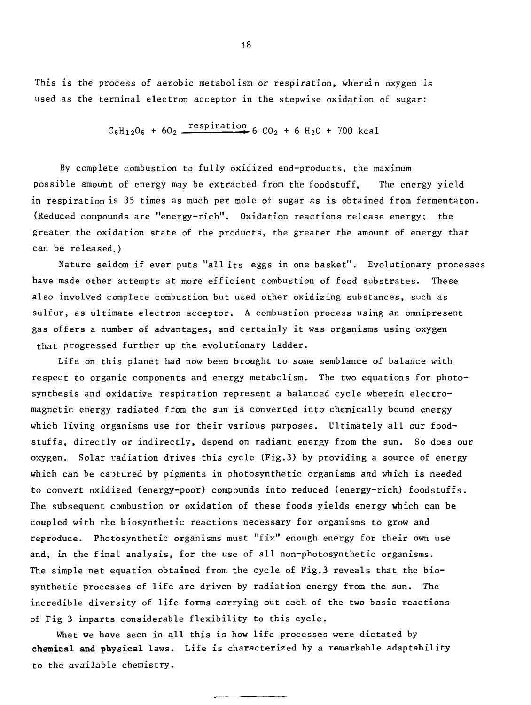This is the process of aerobic metabolism or respiration, wherein oxygen is used as the terminal electron acceptor in the stepwise oxidation of sugar:

$$
C_6H_{12}O_6 + 6O_2
$$
 respiration 6  $CO_2 + 6 H_2O + 700$  kcal

By complete combustion to fully oxidized end-products, the maximum possible amount of energy may be extracted from the foodstuff, The energy yield in respiration is 35 times as much per mole of sugar as is obtained from fermentaton. (Reduced compounds are "energy-rich". Oxidation reactions release energy:, the greater the oxidation state of the products, the greater the amount of energy that can be released.)

Nature seldom if ever puts "all its eggs in one basket". Evolutionary processes have made other attempts at more efficient combustion of food substrates. These also involved complete combustion but used other oxidizing substances, such as sulfur, as ultimate electron acceptor. A combustion process using an omnipresent gas offers a number of advantages, and certainly it was organisms using oxygen that progressed further up the evolutionary ladder.

Life on this planet had now been brought to some semblance of balance with respect to organic components and energy metabolism. The two equations for photosynthesis and oxidative respiration represent a balanced cycle wherein electromagnetic energy radiated from the sun is converted into chemically bound energy which living organisms use for their various purposes. Ultimately all our foodstuffs, directly or indirectly, depend on radiant energy from the sun. So does our oxygen. Solar radiation drives this cycle (Fig.3) by providing a source of energy which can be captured by pigments in photosynthetic organisms and which is needed to convert oxidized (energy-poor) compounds into reduced (energy-rich) foodstuffs. The subsequent combustion or oxidation of these foods yields energy which can be coupled with the biosynthetic reactions necessary for organisms to grow and reproduce. Photosynthetic organisms must "fix" enough energy for their own use and, in the final analysis, for the use of all non-photosynthetic organisms. The simple net equation obtained from the cycle of Fig.3 reveals that the biosynthetic processes of life are driven by radiation energy from the sun. The incredible diversity of life forms carrying out each of the two basic reactions of Fig 3 imparts considerable flexibility to this cycle.

What we have seen in all this is how life processes were dictated by **chemical and physical** laws. Life is characterized by a remarkable adaptability to the available chemistry.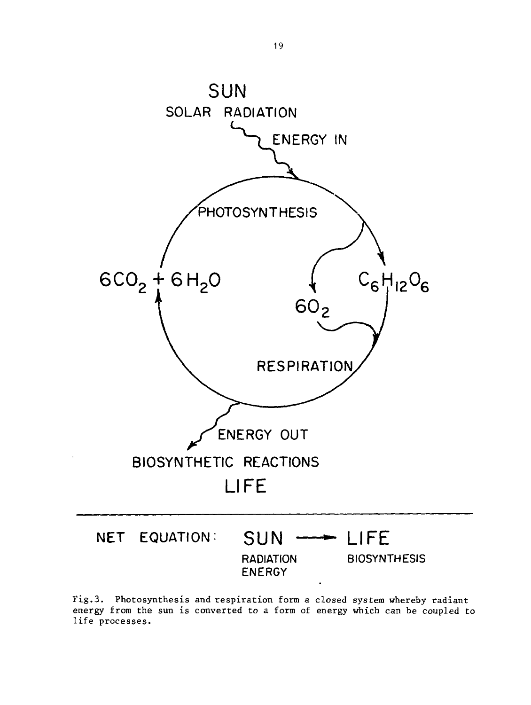

Fig.3. Photosynthesis and respiration form a closed system whereby radiant energy from the sun is converted to a form of energy which can be coupled to life processes.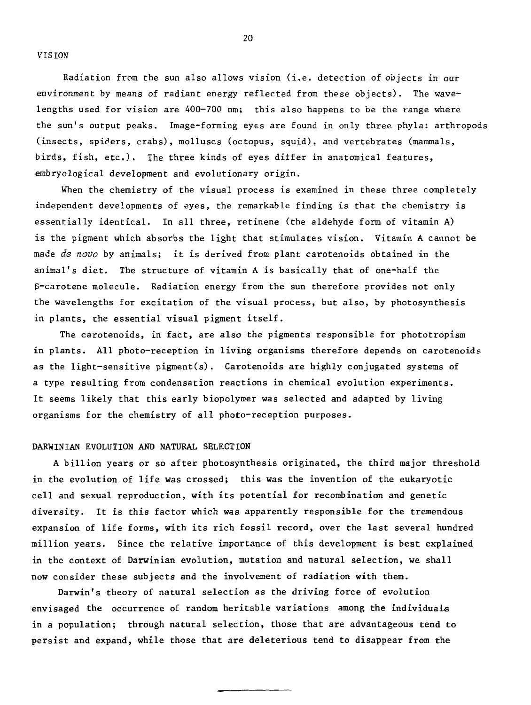VISION

Radiation from the sun also allows vision (i.e. detection of objects in our environment by means of radiant energy reflected from these objects) . The wavelengths used for vision are 400-700 nm; this also happens to be the range where the sun's output peaks. Image-forming eyes are found in only three phyla: arthropods (insects, spiders, crabs), molluscs (octopus, squid), and vertebrates (mammals, birds, fish, etc.). The three kinds of eyes differ in anatomical features, embryological development and evolutionary origin.

When the chemistry of the visual process is examined in these three completely independent developments of eyes, the remarkable finding is that the chemistry is essentially identical. In all three, retinene (the aldehyde form of vitamin A) is the pigment which absorbs the light that stimulates vision. Vitamin A cannot be made de novo by animals; it is derived from plant carotenoids obtained in the animal's diet. The structure of vitamin A is basically that of one-half the  $\beta$ -carotene molecule. Radiation energy from the sun therefore provides not only the wavelengths for excitation of the visual process, but also, by photosynthesis in plants, the essential visual pigment itself.

The carotenoids, in fact, are also the pigments responsible for phototropism in plants. All photo-reception in living organisms therefore depends on carotenoids as the light-sensitive pigment(s). Carotenoids are highly conjugated systems of a type resulting from condensation reactions in chemical evolution experiments. It seems likely that this early biopolymer was selected and adapted by living organisms for the chemistry of all photo-reception purposes.

#### DARWINIAN EVOLUTION AND NATURAL SELECTION

A billion years or so after photosynthesis originated, the third major threshold in the evolution of life was crossed; this was the invention of the eukaryotic cell and sexual reproduction, with its potential for recombination and genetic diversity. It is this factor which was apparently responsible for the tremendous expansion of life forms, with its rich fossil record, over the last several hundred million years. Since the relative importance of this development is best explained in the context of Darwinian evolution, mutation and natural selection, we shall now consider these subjects and the involvement of radiation with them.

Darwin's theory of natural selection as the driving force of evolution envisaged the occurrence of random heritable variations among the individuals in a population; through natural selection, those that are advantageous tend to persist and expand, while those that are deleterious tend to disappear from the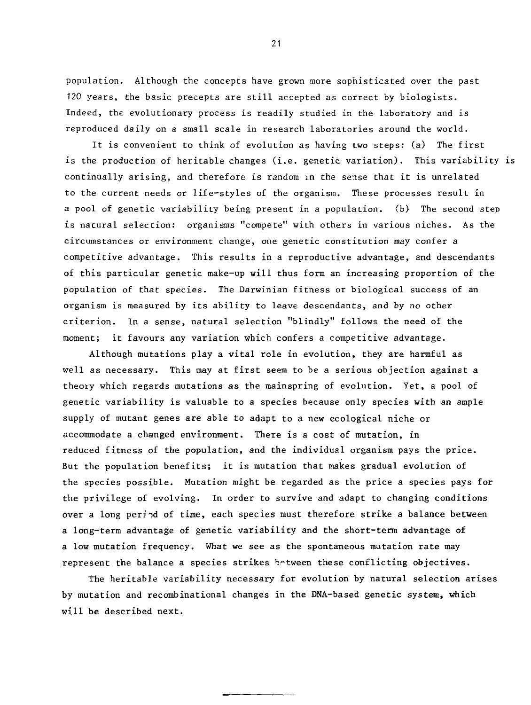population. Although the concepts have grown more sophisticated over the past 120 years, the basic precepts are still accepted as correct by biologists. Indeed, the evolutionary process is readily studied in the laboratory and is reproduced daily on a small scale in research laboratories around the world.

It is convenient to think of evolution as having two steps: (a) The first is the production of heritable changes (i.e. genetic variation). This variability is continually arising, and therefore is random in the sense that it is unrelated to the current needs or life-styles of the organism. These processes result in a pool of genetic variability being present in a population. (b) The second step is natural selection: organisms "compete" with others in various niches. As the circumstances or environment change, one genetic constitution may confer a competitive advantage. This results in a reproductive advantage, and descendants of this particular genetic make-up will thus form an increasing proportion of the population of that species. The Darwinian fitness or biological success of an organism is measured by its ability to leave descendants, and by no other criterion. In a sense, natural selection "blindly" follows the need of the moment; it favours any variation which confers a competitive advantage.

Although mutations play a vital role in evolution, they are harmful as well as necessary. This may at first seem to be a serious objection against a theory which regards mutations as the mainspring of evolution. Yet, a pool of genetic variability is valuable to a species because only species with an ample supply of mutant genes are able to adapt to a new ecological niche or accommodate a changed environment. There is a cost of mutation, in reduced fitness of the population, and the individual organism pays the price. But the population benefits; it is mutation that makes gradual evolution of the species possible. Mutation might be regarded as the price a species pays for the privilege of evolving. In order to survive and adapt to changing conditions over a long perind of time, each species must therefore strike a balance between a long-term advantage of genetic variability and the short-term advantage of a low mutation frequency. What we see as the spontaneous mutation rate may represent the balance a species strikes between these conflicting objectives.

The heritable variability necessary for evolution by natural selection arises by mutation and recombinational changes in the DNA-based genetic system, which will be described next.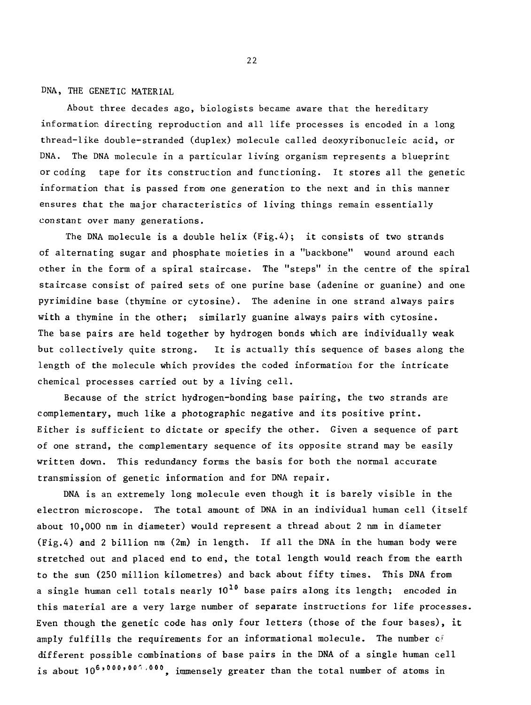DNA, THE GENETIC MATERIAL

About three decades ago, biologists became aware that the hereditary information directing reproduction and all life processes is encoded in a long thread-like double-stranded (duplex) molecule called deoxyribonucleic acid, or DNA. The DNA molecule in a particular living organism represents a blueprint or coding tape for its construction and functioning. It stores all the genetic information that is passed from one generation to the next and in this manner ensures that the major characteristics of living things remain essentially constant over many generations.

The DNA molecule is a double helix  $(Fig, 4)$ ; it consists of two strands of alternating sugar and phosphate moieties in a "backbone" wound around each other in the form of a spiral staircase. The "steps" in the centre of the spiral staircase consist of paired sets of one purine base (adenine or guanine) and one pyrimidine base (thymine or cytosine). The adenine in one strand always pairs with a thymine in the other; similarly guanine always pairs with cytosine. The base pairs are held together by hydrogen bonds which are individually weak but collectively quite strong. It is actually this sequence of bases along the length of the molecule which provides the coded information for the intricate chemical processes carried out by a living cell.

Because of the strict hydrogen-bonding base pairing, the two strands are complementary, much like a photographic negative and its positive print. Either is sufficient to dictate or specify the other. Given a sequence of part of one strand, the complementary sequence of its opposite strand may be easily written down. This redundancy forms the basis for both the normal accurate transmission of genetic information and for DNA repair.

DNA is an extremely long molecule even though it is barely visible in the electron microscope. The total amount of DNA in an individual human cell (itself about 10,000 nm in diameter) would represent a thread about 2 nm in diameter (Fig.A) and 2 billion nm (2m) in length. If all the DNA in the human body were stretched out and placed end to end, the total length would reach from the earth to the sun (250 million kilometres) and back about fifty times. This DNA from a single human cell totals nearly  $10^{10}$  base pairs along its length; encoded in this material are a very large number of separate instructions for life processes. Even though the genetic code has only four letters (those of the four bases), it amply fulfills the requirements for an informational molecule. The number  $c_f$ different possible combinations of base pairs in the DNA of a single human cell is about  $10^{6 \cdot 10^{600 \cdot 10^{100}}$ , immensely greater than the total number of atoms in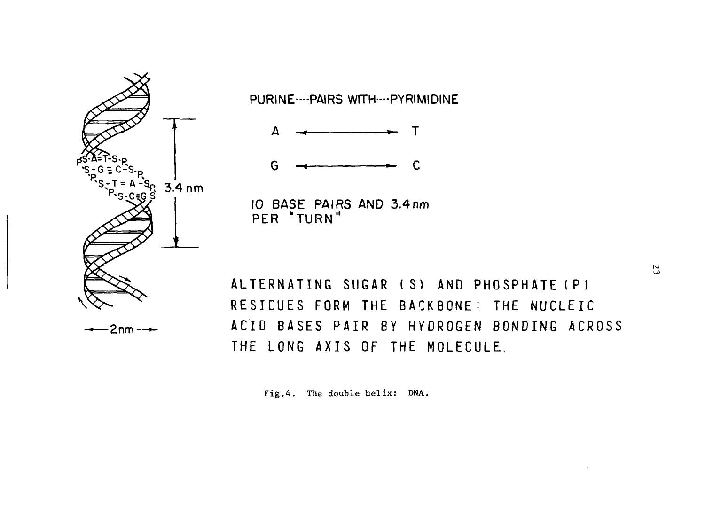

PURINE----PAIRS WITH----PYRIMIDINE

Т

G C

**10 BASE PAIRS AND 3.4 nm P E R "TURN "**

**ALTERNATIN G SUGA R (S ) AN D PHOSPHAT E (P ) RESIDUE S FOR M TH E BACKBONE ; TH E NUCLEI C ACI D BASE S PAI R B Y HYDROGE N BONDIN G ACROS <sup>S</sup> T H E LON G AXI S O F TH E MOLECULE .**

Fig.4. The double helix: DNA.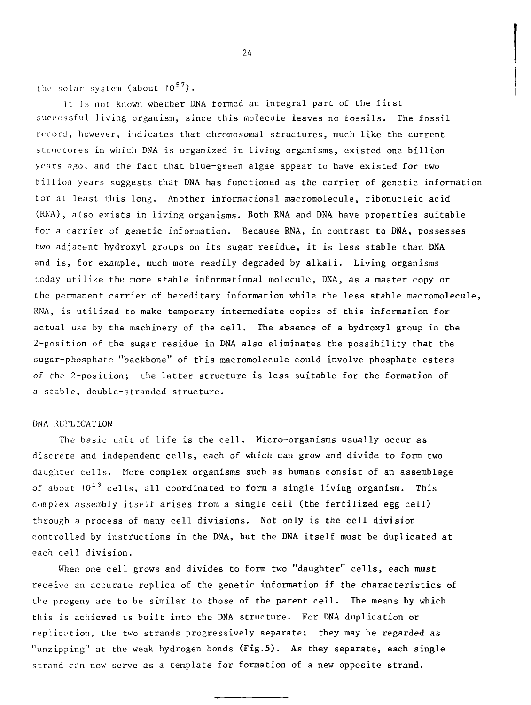the solar system (about  $10^{57}$ ).

It is not known whether DNA formed an integral part of the first successful living organism, since this molecule leaves no fossils. The fossil record, however, indicates that chromosomal structures, much like the current structures in which DNA is organized in living organisms, existed one billion years ago, and the fact that blue-green algae appear to have existed for two billion years suggests that DNA has functioned as the carrier of genetic information for at least this long. Another informational macromolecule, ribonucleic acid (RNA), also exists in living organisms. Both RNA and DNA have properties suitable for a carrier of genetic information. Because RNA, in contrast to DNA, possesses two adjacent hydroxyl groups on its sugar residue, it is less stable than DNA and is, for example, much more readily degraded by alkali. Living organisms today utilize the more stable informational molecule, DNA, as a master copy or the permanent carrier of hereditary information while the less stable macromolecule, RNA, is utilized to make temporary intermediate copies of this information for actual use by the machinery of the cell. The absence of a hydroxyl group in the 2-position of the sugar residue in DNA also eliminates the possibility that the sugar-phosphate "backbone" of this macromolecule could involve phosphate esters of the 2-position; the latter structure is less suitable for the formation of a stable, double-stranded structure.

## DNA REPLICATION

The basic unit of life is the cell. Micro-organisms usually occur as discrete and independent cells, each of which can grow and divide to form two daughter cells. More complex organisms such as humans consist of an assemblage of about  $10^{13}$  cells, all coordinated to form a single living organism. This complex assembly itself arises from a single cell (the fertilized egg cell) through a process of many cell divisions. Not only is the cell division controlled by instructions in the DNA, but the DNA itself must be duplicated at each cell division.

When one cell grows and divides to form two "daughter" cells, each must receive an accurate replica of the genetic information if the characteristics of the progeny are to be similar to those of the parent cell. The means by which this is achieved is built into the DNA structure. For DNA duplication or replication, the two strands progressively separate; they may be regarded as "unzipping" at the weak hydrogen bonds (Fig.5). As they separate, each single strand can now serve as a template for formation of a new opposite strand.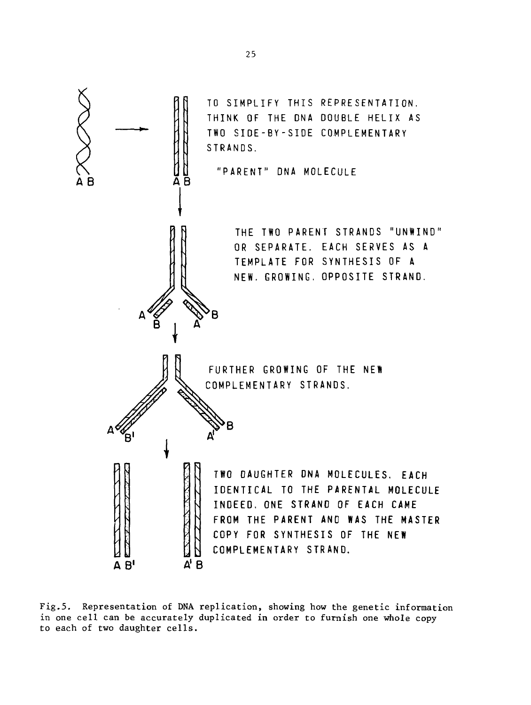

Fig.5. Representation of DNA replication, showing how the genetic information in one cell can be accurately duplicated in order to furnish one whole copy to each of two daughter cells.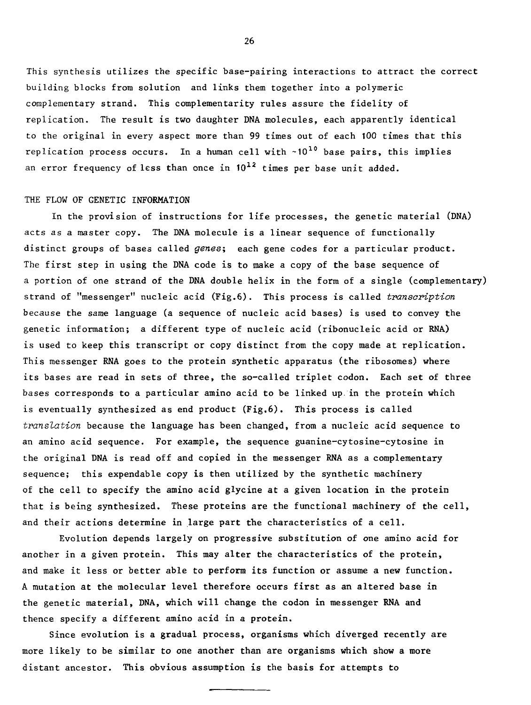This synthesis utilizes the specific base-pairing interactions to attract the correct building blocks from solution and links them together into a polymeric complementary strand. This complementarity rules assure the fidelity of replication. The result is two daughter DNA molecules, each apparently identical to the original in every aspect more than 99 times out of each 100 times that this replication process occurs. In a human cell with  $~10^{10}$  base pairs, this implies an error frequency of less than once in  $10^{12}$  times per base unit added.

## THE FLOW OF GENETIC INFORMATION

In the provision of instructions for life processes, the genetic material (DNA) acts as a master copy. The DNA molecule is a linear sequence of functionally distinct groups of bases called genes; each gene codes for a particular product. The first step in using the DNA code is to make a copy of the base sequence of a portion of one strand of the DNA double helix in the form of a single (complementary) strand of "messenger" nucleic acid (Fig.6). This process is called transcription because the same language (a sequence of nucleic acid bases) is used to convey the genetic information; a different type of nucleic acid (ribonucleic acid or RNA) is used to keep this transcript or copy distinct from the copy made at replication. This messenger RNA goes to the protein synthetic apparatus (the ribosomes) where its bases are read in sets of three, the so-called triplet codon. Each set of three bases corresponds to a particular amino acid to be linked up. in the protein which is eventually synthesized as end product (Fig.6). This process is called translation because the language has been changed, from a nucleic acid sequence to an amino acid sequence. For example, the sequence guanine-cytosine-cytosine in the original DNA is read off and copied in the messenger RNA as a complementary sequence; this expendable copy is then utilized by the synthetic machinery of the cell to specify the amino acid glycine at a given location in the protein that is being synthesized. These proteins are the functional machinery of the cell, and their actions determine in large part the characteristics of a cell.

Evolution depends largely on progressive substitution of one amino acid for another in a given protein. This may alter the characteristics of the protein, and make it less or better able to perform its function or assume a new function. A mutation at the molecular level therefore occurs first as an altered base in the genetic material, DNA, which will change the codon in messenger RNA and thence specify a different amino acid in a protein.

Since evolution is a gradual process, organisms which diverged recently are more likely to be similar to one another than are organisms which show a more distant ancestor. This obvious assumption is the basis for attempts to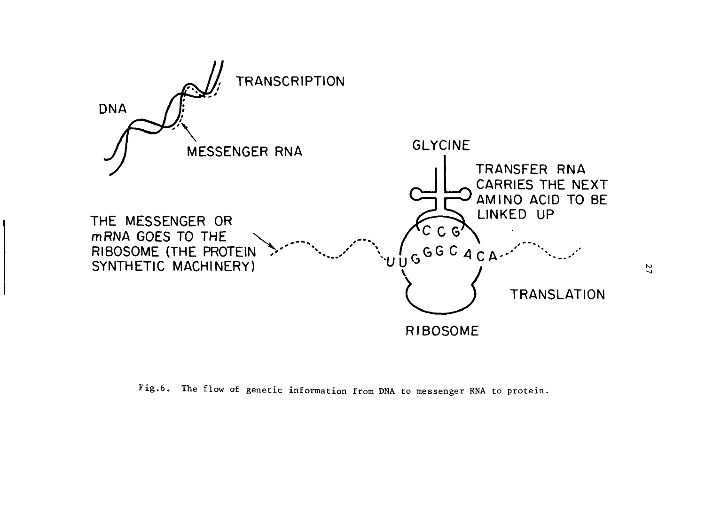

Fig.6. The flow of genetic information from DNA to messenger RNA to protein.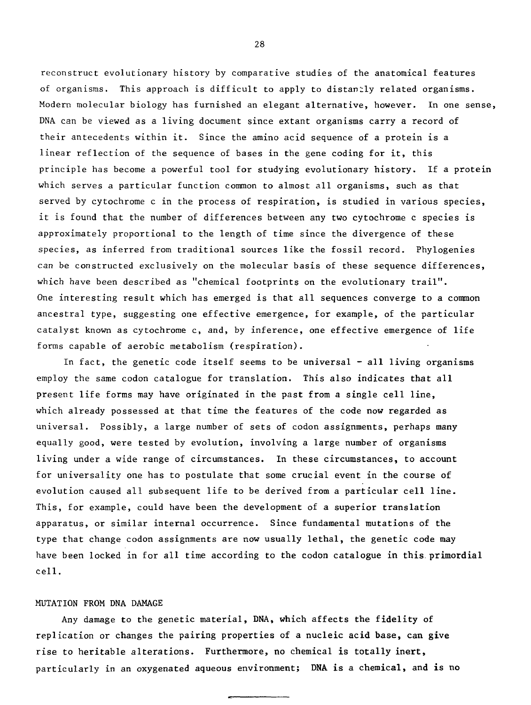reconstruct evolutionary history by comparative studies of the anatomical features of organisms. This approach is difficult to apply to distantly related organisms. Modern molecular biology has furnished an elegant alternative, however. In one sense, DNA can be viewed as a living document since extant organisms carry a record of their antecedents within it. Since the amino acid sequence of a protein is a linear reflection of the sequence of bases in the gene coding for it, this principle has become a powerful tool for studying evolutionary history. If a protein which serves a particular function common to almost all organisms, such as that served by cytochrome c in the process of respiration, is studied in various species, it is found that the number of differences between any two cytochrome c species is approximately proportional to the length of time since the divergence of these species, as inferred from traditional sources like the fossil record. Phylogenies can be constructed exclusively on the molecular basis of these sequence differences, which have been described as "chemical footprints on the evolutionary trail". One interesting result which has emerged is that all sequences converge to a common ancestral type, suggesting one effective emergence, for example, of the particular catalyst known as cytochrome c, and, by inference, one effective emergence of life forms capable of aerobic metabolism (respiration).

In fact, the genetic code itself seems to be universal  $-$  all living organisms employ the same codon catalogue for translation. This also indicates **that all** present life forms may have originated in the past from a single cell line, which already possessed at that time the features of the code **now** regarded as universal. Possibly, a large number of sets of codon assignments, perhaps many equally good, were tested by evolution, involving a large number of organisms living under a wide range of circumstances. In these circumstances, **to account** for universality one has to postulate that some crucial event in the course of evolution caused all subsequent life to be derived from a particular cell line. This, for example, could have been the development **of** a **superior translation** apparatus, or similar internal occurrence. Since fundamental mutations of the type that change codon assignments are now usually lethal, the genetic **code** may have been locked in for all time according to **the** codon **catalogue in this, primordial** cell.

# MUTATION FROM DNA DAMAGE

Any damage to the genetic material, **DNA, which affects the fidelity of** replication or changes **the pairing properties of** a **nucleic acid base, can give** rise to heritable alterations. **Furthermore, no chemical is totally inert,** particularly in an oxygenated **aqueous environment; DNA is a chemical, and is no**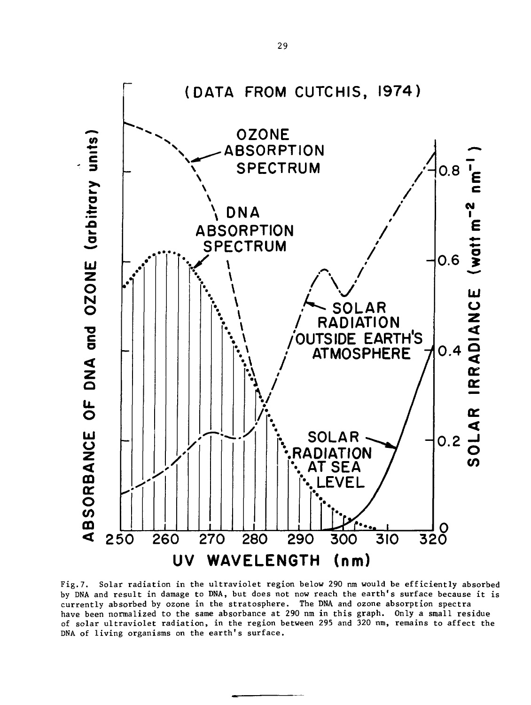

Fig.7. Solar radiation in the ultraviolet region below 290 nm would be efficiently absorbed by DNA and result in damage to DNA, but does not now reach the earth's surface because it is currently absorbed by ozone in the stratosphere. The DNA and ozone absorption spectra have been normalized to the same absorbance at 290 nm in this graph. Only a small residue of solar ultraviolet radiation, in the region between 295 and 320 nm, remains to affect the DNA of living organisms on the earth's surface.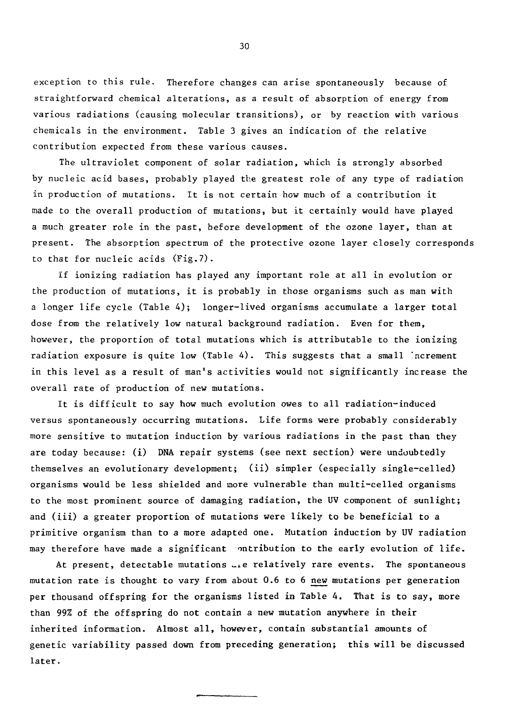exception to this rule. Therefore changes can arise spontaneously because of straightforward chemical alterations, as a result of absorption of energy from various radiations (causing molecular transitions), or by reaction with various chemicals in the environment. Table 3 gives an indication of the relative contribution expected from these various causes.

The ultraviolet component of solar radiation, which is strongly absorbed by nucleic acid bases, probably played the greatest role of any type of radiation in production of mutations- It is not certain how much of a contribution it made to the overall production of mutations, but it certainly would have played a much greater role in the past, before development of the ozone layer, than at present. The absorption spectrum of the protective ozone layer closely corresponds to that for nucleic acids (Fig.7).

If ionizing radiation has played any important role at all in evolution or the production of mutations, it is probably in those organisms such as man with a longer life cycle (Table 4); longer-lived organisms accumulate a larger total dose from the relatively low natural background radiation. Even for them, however, the proportion of total mutations which is attributable to the ionizing radiation exposure is quite low (Table 4). This suggests that a small 'ncrement in this level as a result of man's activities would not significantly increase the overall rate of production of new mutations.

It is difficult to say how much evolution owes to all radiation-induced versus spontaneously occurring mutations. Life forms were probably considerably more sensitive to mutation induction by various radiations in the past than they are today because: (i) DNA repair systems (see next section) were undoubtedly themselves an evolutionary development; (ii) simpler (especially single-celled) organisms would be less shielded and more vulnerable than multi-celled organisms to the most prominent source of damaging radiation, the UV component of sunlight; and (iii) a greater proportion of mutations were likely to be beneficial to a primitive organism than to a more adapted one. Mutation induction by UV radiation may therefore have made a significant ontribution to the early evolution of life.

At present, detectable mutations  $\mathcal{L}_k$  relatively rare events. The spontaneous mutation rate is thought to vary from about 0.6 to 6 new mutations per generation per thousand offspring for the organisms listed in Table 4. That is to say, more than 99% of the offspring do not contain a new mutation anywhere in their inherited information. Almost all, however, contain substantial amounts of genetic variability passed down from preceding generation; this will be discussed later.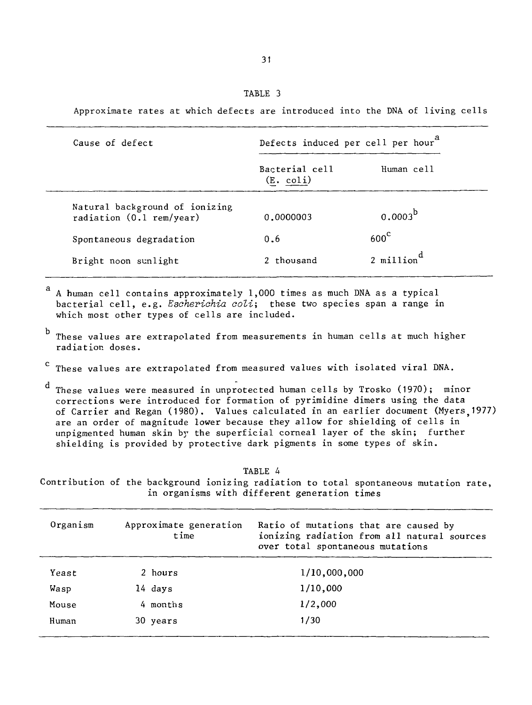Approximate rates at which defects are introduced into the DNA of living cells

| Defects induced per cell per hour <sup>d</sup> |                          |
|------------------------------------------------|--------------------------|
| Bacterial cell<br>$(E. \text{coli})$           | Human cell               |
| 0.0000003                                      | $0.0003^b$               |
| 0.6                                            | $600^{\circ}$            |
| 2 thousand                                     | $2$ million <sup>d</sup> |
|                                                |                          |

A human cell contains approximately 1,000 times as much DNA as a typical bacterial cell, e.g. Escherichia coli; these two species span a range in which most other types of cells are included.

- b These values are extrapolated from measurements in human cells at much higher radiation doses.
- <sup>C</sup> These values are extrapolated from measured values with isolated viral DNA.

These values were measured in unprotected human cells by Trosko (1970); minor corrections were introduced for formation of pyrimidine dimers using the data of Carrier and Regan (1980). Values calculated in an earlier document (Myers 1977) are an order of magnitude lower because they allow for shielding of cells in unpigmented human skin by the superficial corneal layer of the skin; further shielding is provided by protective dark pigments in some types of skin.

TABLE 4

Contribution of the background ionizing radiation to total spontaneous mutation rate, in organisms with different generation times

| Organism | Approximate generation<br>time | Ratio of mutations that are caused by<br>ionizing radiation from all natural sources<br>over total spontaneous mutations |
|----------|--------------------------------|--------------------------------------------------------------------------------------------------------------------------|
| Yeast    | 2 hours                        | 1/10,000,000                                                                                                             |
| Wasp     | 14 days                        | 1/10,000                                                                                                                 |
| Mouse    | 4 months                       | 1/2,000                                                                                                                  |
| Human    | 30 years                       | 1/30                                                                                                                     |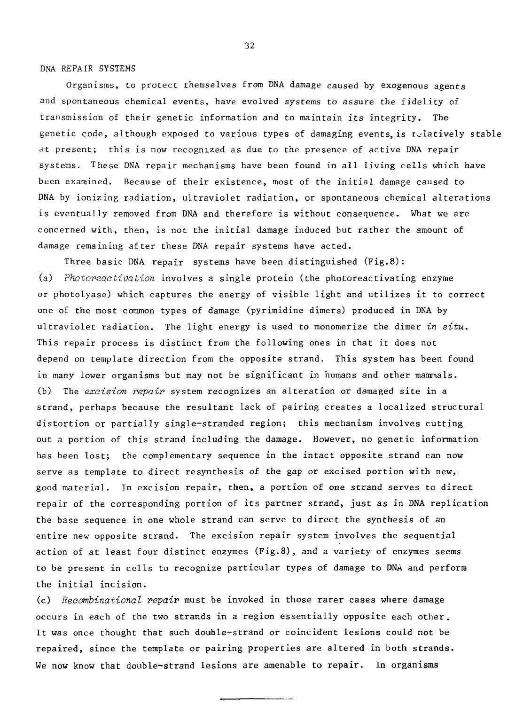DNA REPAIR SYSTEMS

Organisms, to protect themselves from DNA damage caused by exogenous agents and spontaneous chemical events, have evolved systems to assure the fidelity of transmission of their genetic information and to maintain its integrity. The genetic code, although exposed to various types of damaging events, is relatively stable at present; this is now recognized as due to the presence of active DNA repair systems. These DNA repair mechanisms have been found in all living cells which have been examined. Because of their existence, most of the initial damage caused to DNA by ionizing radiation, ultraviolet radiation, or spontaneous chemical alterations is eventually removed from DNA and therefore is without consequence. What we are concerned with, then, is not the initial damage induced but rather the amount of damage remaining after these DNA repair systems have acted.

Three basic DNA repair systems have been distinguished (Fig.8): (a) Photoreactivation involves a single protein (the photoreactivating enzyme or photolyase) which captures the energy of visible light and utilizes it to correct one of the most common types of damage (pyrimidine dimers) produced in DNA by ultraviolet radiation. The light energy is used to monomerize the dimer in situ. This repair process is distinct from the following ones in that it does not depend on template direction from the opposite strand. This system has been found in many lower organisms but may not be significant in humans and other mammals. (b) The excision repair system recognizes an alteration or damaged site in a strand, perhaps because the resultant lack of pairing creates a localized structural distortion or partially single-stranded region; this mechanism involves cutting out a portion of this strand including the damage. However, no genetic information has been lost; the complementary sequence in the intact opposite strand can now serve as template to direct resynthesis of the gap or excised portion with new, good material. In excision repair, then, a portion of one strand serves to direct repair of the corresponding portion of its partner strand, just as in DNA replication the base sequence in one whole strand can serve to direct the synthesis of an entire new opposite strand. The excision repair system involves the sequential action of at least four distinct enzymes (Fig.8), and a variety of enzymes seems to be present in cells to recognize particular types of damage to DNA and perform the initial incision.

(c) Recombinational repair must be invoked in those rarer cases where damage occurs in each of the two strands in a region essentially opposite each other. It was once thought that such double-strand or coincident lesions could not be repaired, since the template or pairing properties are altered in both strands. We now know that double-strand lesions are amenable to repair. In organisms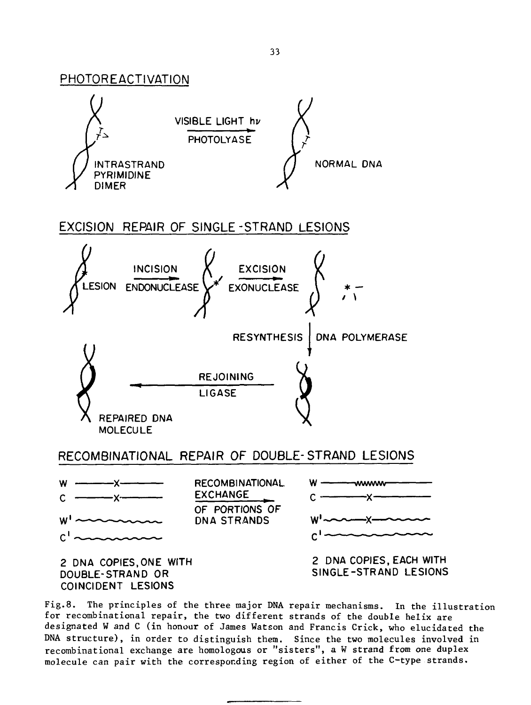

RECOMBINATIONAL REPAIR OF DOUBLE-STRAND LESIONS

REJOINING LIGASE

REPAIRED DNA **MOLECULE** 



Fig.8. The principles of the three major DNA repair mechanisms. In the illustration for recombinational repair, the two different strands of the double helix are designated W and C (in honour of James Watson and Francis Crick, who elucidated the DNA structure), in order to distinguish them. Since the two molecules involved in recombinational exchange are homologous or "sisters", a W strand from one duplex molecule can pair with the corresponding region of either of the C-type strands.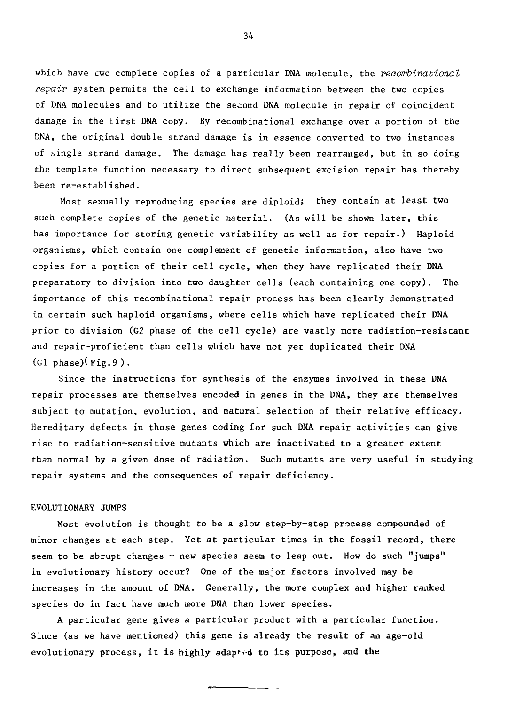which have two complete copies of a particular DNA molecule, the recombinational  $repair$  system permits the cell to exchange information between the two copies of DNA molecules and to utilize the second DNA molecule in repair of coincident damage in the first DNA copy. By recombinational exchange over a portion of the DNA, the original double strand damage is in essence converted to two instances of single strand damage. The damage has really been rearranged, but in so doing the template function necessary to direct subsequent excision repair has thereby been re-established.

Most sexually reproducing species are diploid; they contain at least two such complete copies of the genetic material. (As will be shown later, this has importance for storing genetic variability as well as for repair.) Haploid organisms, which contain one complement of genetic information, also have two copies for a portion of their cell cycle, when they have replicated their DNA preparatory to division into two daughter cells (each containing one copy). The importance of this recombinational repair process has been clearly demonstrated in certain such haploid organisms, where cells which have replicated their DNA prior to division (G2 phase of the cell cycle) are vastly more radiation-resistant and repair-proficient than cells which have not yet duplicated their DNA  $(G1$  phase) $(Fig.9)$ .

Since the instructions for synthesis of the enzymes involved in these DNA repair processes are themselves encoded in genes in the DNA, they are themselves subject to mutation, evolution, and natural selection of their relative efficacy. Hereditary defects in those genes coding for such DNA repair activities can give rise to radiation-sensitive mutants which are inactivated to a greater extent than normal by a given dose of radiation. Such mutants are very useful in studying repair systems and the consequences of repair deficiency.

#### EVOLUTIONARY JUMPS

Most evolution is thought to be a slow step-by-step process compounded of minor changes at each step. Yet at particular times in the fossil record, there seem to be abrupt changes  $-$  new species seem to leap out. How do such "jumps" in evolutionary history occur? One of the major factors involved may be increases in the amount of DNA. Generally, the more complex and higher ranked species do in fact have much more DNA than lower species.

A particular gene gives a particular product with a particular function. Since (as we have mentioned) this gene is already the result of an age-old evolutionary process, it is highly adapted to its purpose, and the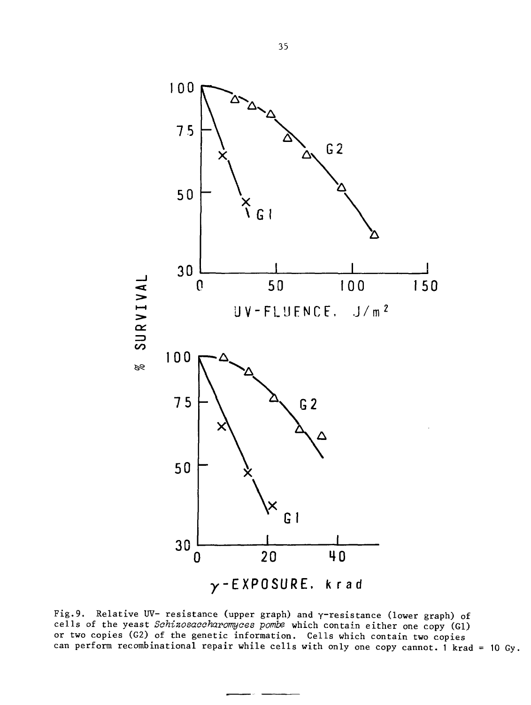

Fig.9. Relative UV- resistance (upper graph) and  $\gamma$ -resistance (lower graph) of cells of the yeast Schizosaccharomyces pombe which contain either one copy (G1) or two copies (G2) of the genetic information. Cells which contain two copies can perform recombinational repair while cells with only one copy cannot. 1 krad = 10 Gy.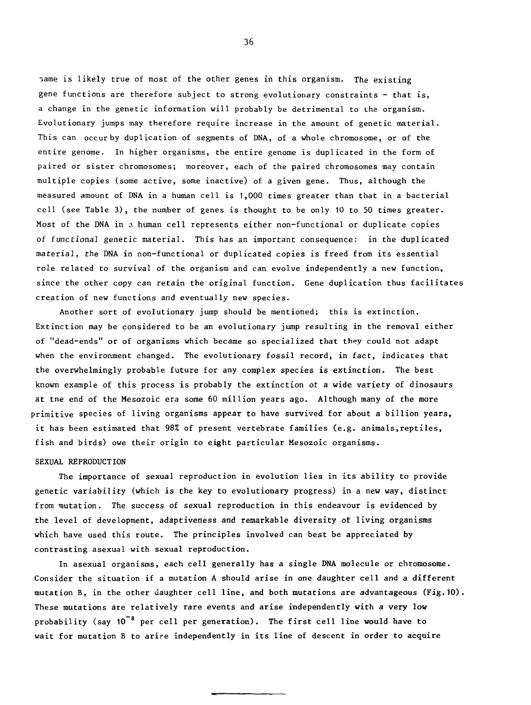•same is likely true of most of the other genes in this organism. The existing gene functions are therefore subject to strong evolutionary constraints - that is, a change in the genetic information will probably be detrimental to the organism. Evolutionary jumps may therefore require increase in the amount of genetic material. This can occur by duplication of segments of DNA, of a whole chromosome, or of the entire genome. In higher organisms, the entire genome is duplicated in the form of paired or sister chromosomes; moreover, each of the paired chromosomes may contain multiple copies (some active, some inactive) of a given gene. Thus, although the measured amount of DNA in a human cell is 1,000 times greater than that in a bacterial cell (see Table 3) , the number of genes is thought to be only 10 to 50 times greater. Most of the DNA in a human cell represents either non-functional or duplicate copies of functional genetic material. This has an important consequence: in the duplicated material, the DNA in non-functional or duplicated copies is freed from its essential role related to survival of the organism and can evolve independently a new function, since the other copy can retain the original function. Gene duplication thus facilitates creation of new functions and eventually new species.

Another sort of evolutionary jump should be mentioned; this is extinction. Extinction may be considered to be an evolutionary jump resulting in the removal either of "dead-ends" or of organisms which became so specialized that they could not adapt when the environment changed. The evolutionary fossil record, in fact, indicates that the overwhelmingly probable, future for any complex species is extinction. The best known example of this process is probably the extinction of a wide variety of dinosaurs at tne end of the Mesozoic era some 60 million years ago. Although many of the more primitive species of living organisms appear to have survived for about a billion years, it has been estimated that 98% of present vertebrate families (e.g. animals,reptiles, fish and birds) owe their origin to eight particular Mesozoic organisms.

#### SEXUAL REPRODUCTION

The importance of sexual reproduction in evolution lies in its ability to provide genetic variability (which is the key to evolutionary progress) in a new way, distinct from mutation. The success of sexual reproduction in this endeavour is evidenced by the level of development, adaptiveness and remarkable diversity of living organisms which have used this route. The principles involved can best be appreciated by contrasting asexual with sexual reproduction.

In asexual organisms, each cell generally has a single DNA molecule or chromosome. Consider the situation if a mutation A should arise in one daughter cell and a different mutation B, in the other daughter cell line, and both mutations are advantageous (Fig.10). These mutations are relatively rare events and arise independently with a very low probability (say 10<sup>-8</sup> per cell per generation). The first cell line would have to wait for mutation B to arire independently in its line of descent in order to acquire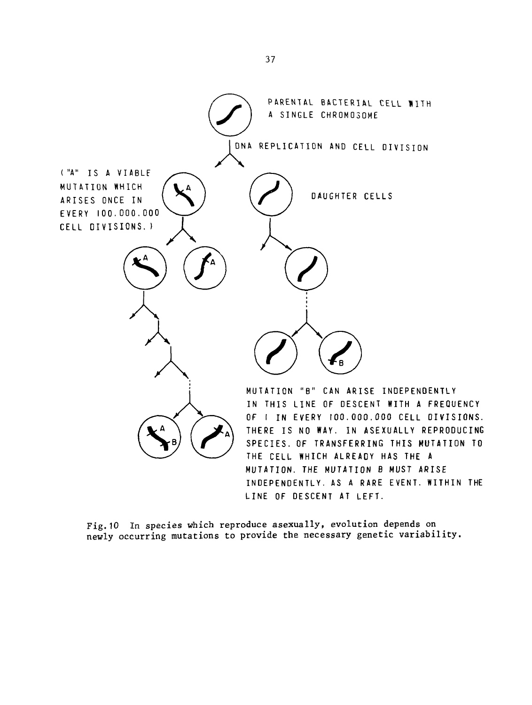

**Fig.10 In species which reproduce asexually, evolution depends on newly occurring mutations to provide the necessary genetic variability.**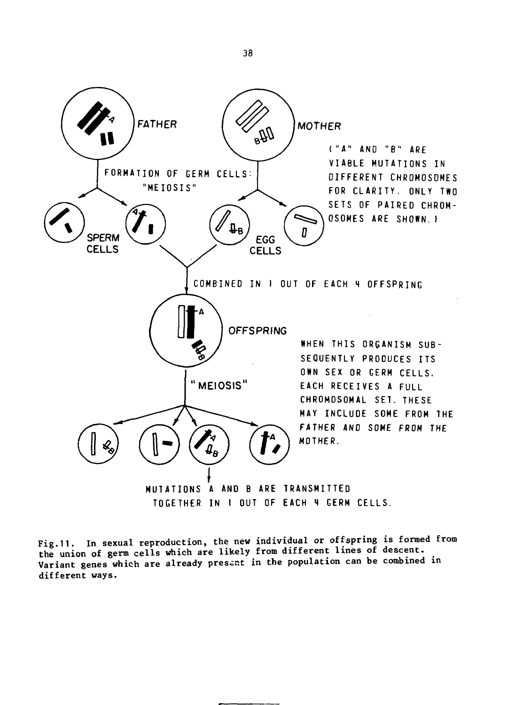

Fig.11. In sexual reproduction, the new individual or offspring is formed from the union of germ cells which are likely from different lines of descent. Variant genes which are already present in the population can be combined in different ways.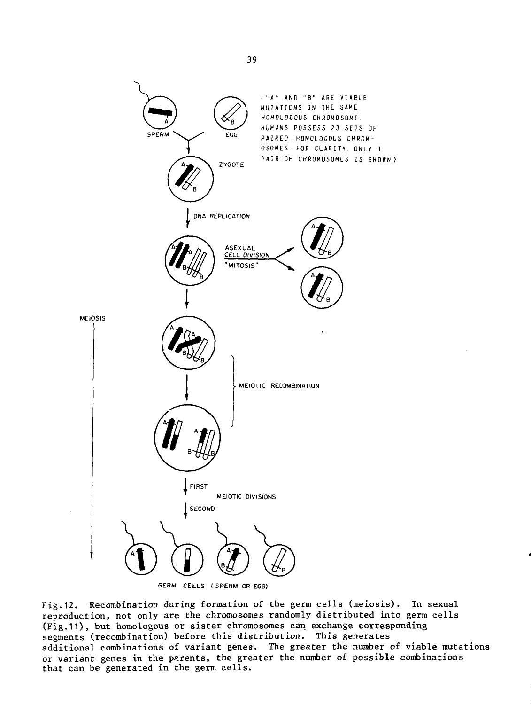

Fig.12. Recombination during formation of the germ cells (meiosis). In sexual reproduction, not only are the chromosomes randomly distributed into germ cells (Fig.11), but homologous or sister chromosomes can exchange corresponding segments (recombination) before this distribution. This generates additional combinations of variant genes. The greater the number of viable mutations or variant genes in the parents, the greater the number of possible combinations that can be generated in the germ cells.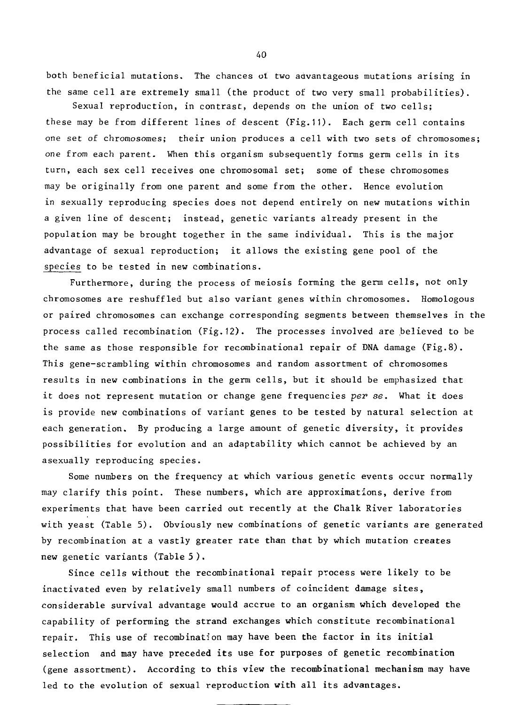both beneficial mutations. The chances ot two advantageous mutations arising in the same cell are extremely small (the product of two very small probabilities).

Sexual reproduction, in contrast, depends on the union of two cells; these may be from different lines of descent (Fig.11). Each germ cell contains one set of chromosomes; their union produces a cell with two sets of chromosomes; one from each parent. When this organism subsequently forms germ cells in its turn, each sex cell receives one chromosomal set; some of these chromosomes may be originally from one parent and some from the other. Hence evolution in sexually reproducing species does not depend entirely on new mutations within a given line of descent; instead, genetic variants already present in the population may be brought together in the same individual. This is the major advantage of sexual reproduction; it allows the existing gene pool of the species to be tested in new combinations.

Furthermore, during the process of meiosis forming the germ cells, not only chromosomes are reshuffled but also variant genes within chromosomes. Homologous or paired chromosomes can exchange corresponding segments between themselves in the process called recombination (Fig.12). The processes involved are believed to be the same as those responsible for recombinational repair of DNA damage (Fig.8). This gene-scrambling within chromosomes and random assortment of chromosomes results in new combinations in the germ cells, but it should be emphasized that it does not represent mutation or change gene frequencies per se. What it does is provide new combinations of variant genes to be tested by natural selection at each generation. By producing a large amount of genetic diversity, it provides possibilities for evolution and an adaptability which cannot be achieved by an asexually reproducing species.

Some numbers on the frequency at which various genetic events occur normally may clarify this point. These numbers, which are approximations, derive from experiments that have been carried out recently at the Chalk River laboratories with yeast (Table 5). Obviously new combinations of genetic variants are generated by recombination at a vastly greater rate than that by which mutation creates new genetic variants (Table 5) .

Since cells without the recombinational repair process were likely to be inactivated even by relatively small numbers of coincident damage sites, considerable survival advantage would accrue to an organism which developed the capability of performing the strand exchanges which constitute recombinational repair. This use of recombination may have been the factor in its initial selection and may have preceded its use for purposes of genetic recombination (gene assortment). According to this view the recombinational mechanism may have led to the evolution of sexual reproduction with all its advantages.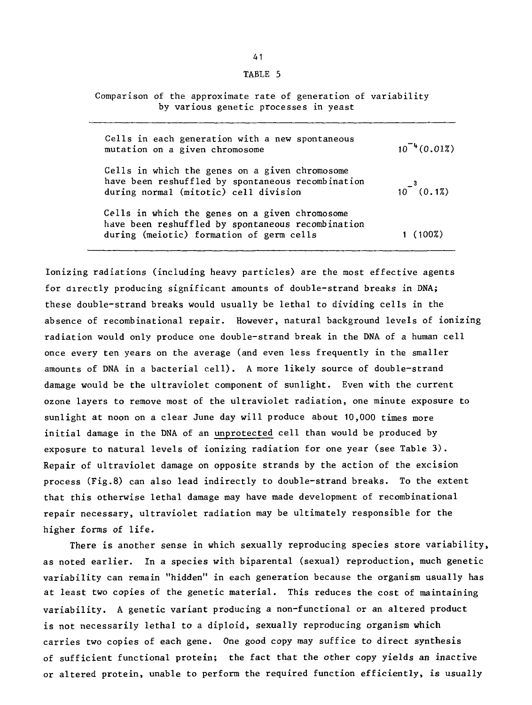| u |  |
|---|--|
|---|--|

Comparison of the approximate rate of generation of variability by various genetic processes in yeast

| Cells in each generation with a new spontaneous<br>mutation on a given chromosome                                                               | $10^{-4}(0.01\%)$ |
|-------------------------------------------------------------------------------------------------------------------------------------------------|-------------------|
| Cells in which the genes on a given chromosome<br>have been reshuffled by spontaneous recombination<br>during normal (mitotic) cell division    | $10^{-3}$ (0.1%)  |
| Cells in which the genes on a given chromosome<br>have been reshuffled by spontaneous recombination<br>during (meiotic) formation of germ cells | (100%)            |

Ionizing radiations (including heavy particles) are the most effective agents for directly producing significant amounts of double-strand breaks in DNA; these double-strand breaks would usually be lethal to dividing cells in the absence of recombinational repair. However, natural background levels of ionizing radiation would only produce one double-strand break in the DNA of a human cell once every ten years on the average (and even less frequently in the smaller amounts of DNA in a bacterial cell). A more likely source of double-strand damage would be the ultraviolet component of sunlight. Even with the current ozone layers to remove most of the ultraviolet radiation, one minute exposure to sunlight at noon on a clear June day will produce about 10,000 times more initial damage in the DNA of an unprotected cell than would be produced by exposure to natural levels of ionizing radiation for one year (see Table 3) . Repair of ultraviolet damage on opposite strands by the action of the excision process (Fig.8) can also lead indirectly to double-strand breaks. To the extent that this otherwise lethal damage may have made development of recombinational repair necessary, ultraviolet radiation may be ultimately responsible for the higher forms of life.

There is another sense in which sexually reproducing species store variability, as noted earlier. In a species with biparental (sexual) reproduction, much genetic variability can remain "hidden" in each generation because the organism usually has at least two copies of the genetic material. This reduces the cost of maintaining variability. A genetic variant producing a non-functional or an altered product is not necessarily lethal to a diploid, sexually reproducing organism which carries two copies of each gene. One good copy may suffice to direct synthesis of sufficient functional protein; the fact that the other copy yields an inactive or altered protein, unable to perform the required function efficiently, is usually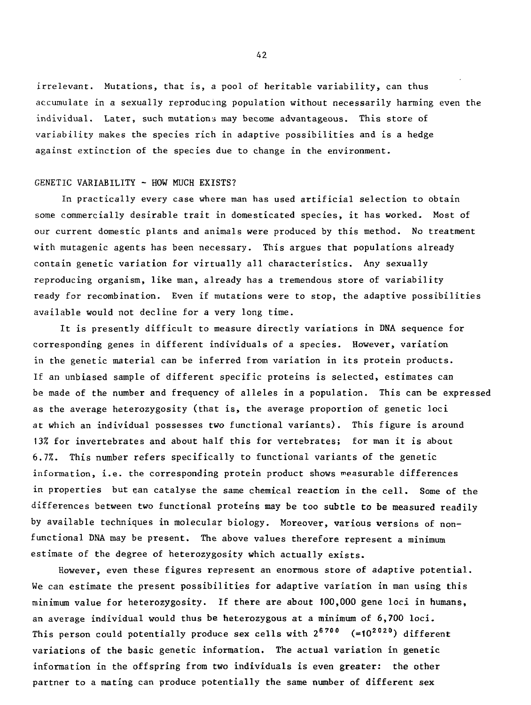irrelevant. Mutations, that is, a pool of heritable variability, can thus accumulate in a sexually reproducing population without necessarily harming even the individual. Later, such mutations may become advantageous. This store of variability makes the species rich in adaptive possibilities and is a hedge against extinction of the species due to change in the environment.

#### GENETIC VARIABILITY - HOW MUCH EXISTS?

In practically every case where man has used artificial selection to obtain some commercially desirable trait in domesticated species, it has worked. Most of our current domestic plants and animals were produced by this method. No treatment with mutagenic agents has been necessary. This argues that populations already contain genetic variation for virtually all characteristics. Any sexually reproducing organism, like man, already has a tremendous store of variability ready for recombination. Even if mutations were to stop, the adaptive possibilities available would not decline for a very long time.

It is presently difficult to measure directly variations in DNA sequence for corresponding genes in different individuals of a species. However, variation in the genetic material can be inferred from variation in its protein products. If an unbiased sample of different specific proteins is selected, estimates can be made of the number and frequency of alleles in a population. This can be expressed as the average heterozygosity (that is, the average proportion of genetic loci at which an individual possesses two functional variants). This figure is around 13% for invertebrates and about half this for vertebrates; for man it is about 6.7%. This number refers specifically to functional variants of the genetic information, i.e. the corresponding protein product shows measurable differences in properties but ean catalyse the same chemical reaction in the cell. Some of the differences between two functional proteins may be too subtle to be measured readily by available techniques in molecular biology. Moreover, various versions of nonfunctional DNA may be present. The above values therefore represent a minimum estimate of the degree of heterozygosity which actually exists.

However, even these figures represent an enormous store of adaptive potential. We can estimate the present possibilities for adaptive variation in man using this minimum value for heterozygosity. If there are about 100,000 gene loci in humans, an average individual would thus be heterozygous at a minimum of 6,700 loci. This person could potentially produce sex cells with  $2^{6700}$  (=10<sup>2020</sup>) different variations of the basic genetic information. The actual variation in genetic information in the offspring from two individuals is even greater: the other partner to a mating can produce potentially the same number of different sex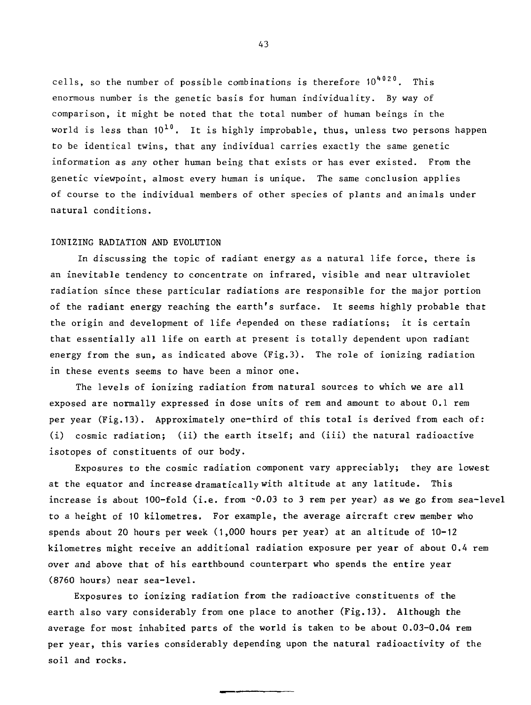cells, so the number of possible combinations is therefore 10<sup>4020</sup>. This enormous number is the genetic basis for human individuality. By way of comparison, it might be noted that the total number of human beings in the world is less than 10<sup>10</sup>. It is highly improbable, thus, unless two persons happen to be identical twins, that any individual carries exactly the same genetic information as any other human being that exists or has ever existed. From the genetic viewpoint, almost every human is unique. The same conclusion applies of course to the individual members of other species of plants and animals under natural conditions.

#### IONIZING RADIATION AND EVOLUTION

In discussing the topic of radiant energy as a natural life force, there is an inevitable tendency to concentrate on infrared, visible and near ultraviolet radiation since these particular radiations are responsible for the major portion of the radiant energy reaching the earth's surface. It seems highly probable that the origin and development of life depended on these radiations; it is certain that essentially all life on earth at present is totally dependent upon radiant energy from the sun, as indicated above (Fig.3). The role of ionizing radiation in these events seems to have been a minor one.

The levels of ionizing radiation from natural sources to which we are all exposed are normally expressed in dose units of rem and amount to about 0.1 rem per year (Fig.13). Approximately one-third of this total is derived from each of: (i) cosmic radiation; (ii) the earth itself; and (iii) the natural radioactive isotopes of constituents of our body.

Exposures to the cosmic radiation component vary appreciably; they are lowest at the equator and increase dramatically with altitude at any latitude. This increase is about 100-fold (i.e. from -0.03 to 3 rem per year) as we go from sea-level to a height of 10 kilometres. For example, the average aircraft crew member who spends about 20 hours per week (1,000 hours per year) at an altitude of 10-12 kilometres might receive an additional radiation exposure per year of about 0.4 rem over and above that of his earthbound counterpart who spends the entire year (8760 hours) near sea-level.

Exposures to ionizing radiation from the radioactive constituents of the earth also vary considerably from one place to another (Fig.13). Although the average for most inhabited parts of the world is taken to be about 0.03-0.04 rem per year, this varies considerably depending upon the natural radioactivity of the soil and rocks.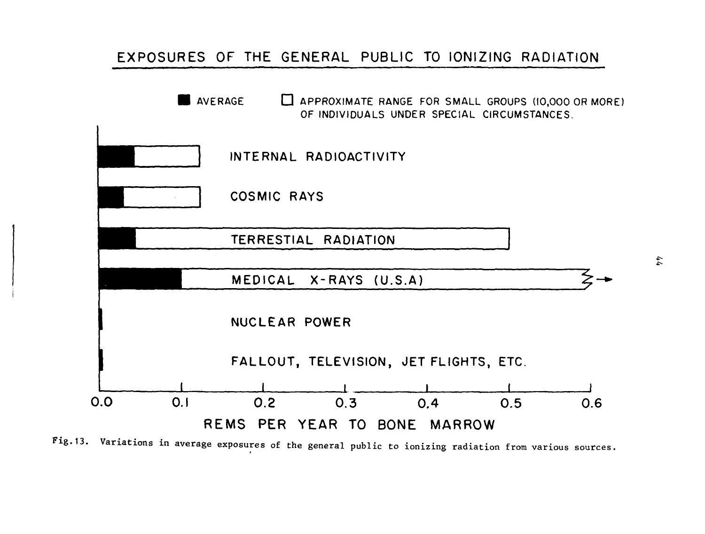# **EXPOSURES OF THE GENERAL PUBLIC TO IONIZING RADIATION**



Fig.13. Variations in average exposures of the general public to ionizing radiation from various sources.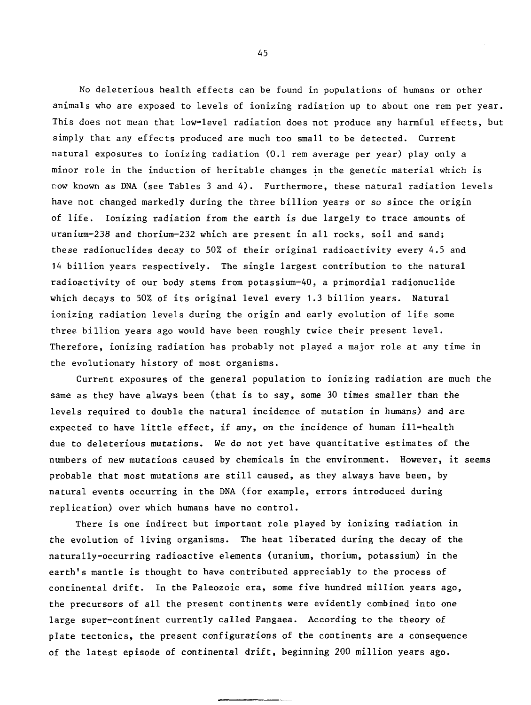No deleterious health effects can be found in populations of humans or other animals who are exposed to levels of ionizing radiation up to about one rem per year. This does not mean that low-level radiation does not produce any harmful effects, but simply that any effects produced are much too small to be detected. Current natural exposures to ionizing radiation (0.1 rem average per year) play only a minor role in the induction of heritable changes in the genetic material which is now known as DNA (see Tables 3 and 4). Furthermore, these natural radiation levels have not changed markedly during the three billion years or so since the origin of life. Ionizing radiation from the earth is due largely to trace amounts of uranium-238 and thorium-232 which are present in all rocks, soil and sand; these radionuclides decay to 50% of their original radioactivity every 4.5 and 14 billion years respectively. The single largest contribution to the natural radioactivity of our body stems from potassium-40, a primordial radionuclide which decays to 50% of its original level every 1.3 billion years. Natural ionizing radiation levels during the origin and early evolution of life some three billion years ago would have been roughly twice their present level. Therefore, ionizing radiation has probably not played a major role at any time in the evolutionary history of most organisms.

Current exposures of the general population to ionizing radiation are much the same as they have always been (that is to say, some 30 times smaller than the levels required to double the natural incidence of mutation in humans) and are expected to have little effect, if any, on the incidence of human ill-health due to deleterious mutations. We do not yet have quantitative estimates of the numbers of new mutations caused by chemicals in the environment. However, it seems probable that most mutations are still caused, as they always have been, by natural events occurring in the DNA (for example, errors introduced during replication) over which humans have no control.

There is one indirect but important role played by ionizing radiation in the evolution of living organisms. The heat liberated during the decay of the naturally-occurring radioactive elements (uranium, thorium, potassium) in the earth's mantle is thought to have contributed appreciably to the process of continental drift. In the Paleozoic era, some five hundred million years ago, the precursors of all the present continents were evidently combined into one large super-continent currently called Pangaea. According to the theory of plate tectonics, the present configurations of the continents are a consequence of the latest episode of continental drift, beginning 200 million years ago.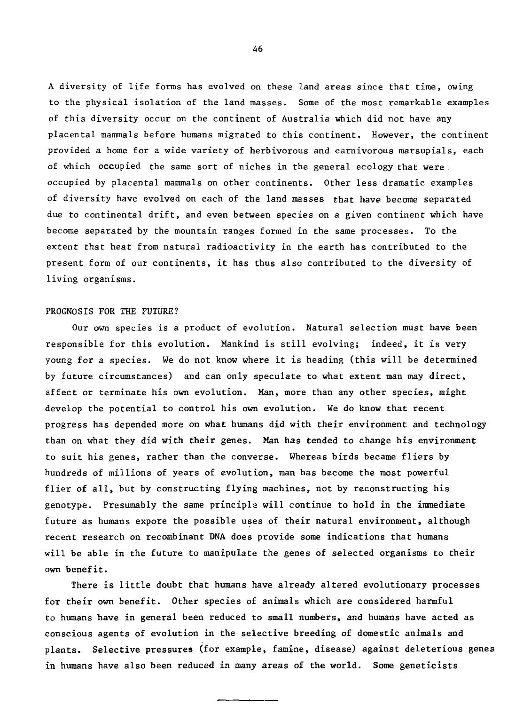A diversity of life forms has evolved on these land areas since that time, owing to the physical isolation of the land masses. Some of the most remarkable examples of this diversity occur on the continent of Australia which did not have any placental mammals before humans migrated to this continent. However, the continent provided a home for a wide variety of herbivorous and carnivorous marsupials, each of which occupied the same sort of niches in the general ecology that were . occupied by placental mammals on other continents. Other less dramatic examples of diversity have evolved on each of the land masses that have become separated due to continental drift, and even between species on a given continent which have become separated by the mountain ranges formed in the same processes. To the extent that heat from natural radioactivity in the earth has contributed to the present form of our continents, it has thus also contributed to the diversity of living organisms.

# PROGNOSIS FOR THE FUTURE?

Our own species is a product of evolution. Natural selection must have been responsible for this evolution. Mankind is still evolving; indeed, it is very young for a species. We do not know where it is heading (this will be determined by future circumstances) and can only speculate to what extent man may direct, affect or terminate his own evolution. Man, more than any other species, might develop the potential to control his own evolution. We do know that recent progress has depended more on what humans did with their environment and technology than on what they did with their genes. Man has tended to change his environment to suit his genes, rather than the converse. Whereas birds became fliers by hundreds of millions of years of evolution, man has become the most powerful flier of all, but by constructing flying machines, not by reconstructing his genotype. Presumably the same principle will continue to hold in the immediate future as humans expore the possible uses of their natural environment, although recent research on recombinant DNA does provide some indications that humans will be able in the future to manipulate the genes of selected organisms to their own benefit.

There is little doubt that humans have already altered evolutionary processes for their own benefit. Other species of animals which are considered harmful to humans have in general been reduced to small numbers, and humans have acted as conscious agents of evolution in the selective breeding of domestic animals and plants. Selective pressures (for example, famine, disease) against deleterious genes in humans have also been reduced in many areas of the world. Some geneticists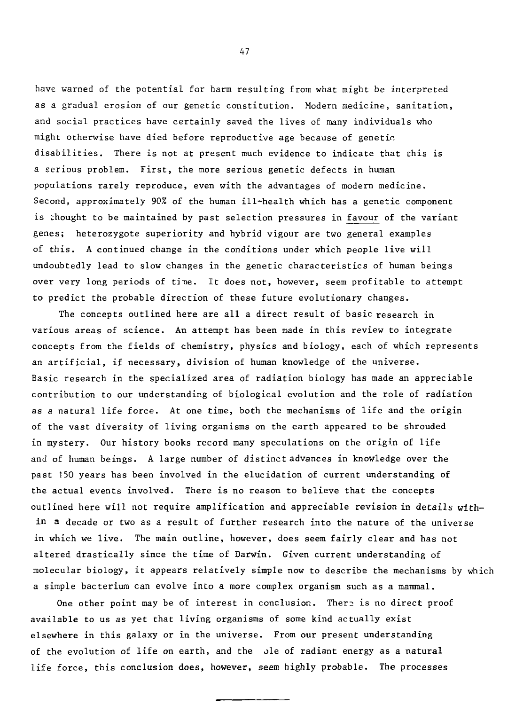have warned of the potential for harm resulting from what might be interpreted as a gradual erosion of our genetic constitution. Modern medicine, sanitation, and social practices have certainly saved the lives of many individuals who might otherwise have died before reproductive age because of genetic disabilities. There is not at present much evidence to indicate that this is a serious problem. First, the more serious genetic defects in human populations rarely reproduce, even with the advantages of modern medicine. Second, approximately 90% of the human ill-health which has a genetic component is thought to be maintained by past selection pressures in favour of the variant genes; heterozygote superiority and hybrid vigour are two general examples of this. A continued change in the conditions under which people live will undoubtedly lead to slow changes in the genetic characteristics of human beings over very long periods of time. It does not, however, seem profitable to attempt to predict the probable direction of these future evolutionary changes.

The concepts outlined here are all a direct result of basic research in various areas of science. An attempt has been made in this review to integrate concepts from the fields of chemistry, physics and biology, each of which represents an artificial, if necessary, division of human knowledge of the universe. Basic research in the specialized area of radiation biology has made an appreciable contribution to our understanding of biological evolution and the role of radiation as a natural life force. At one time, both the mechanisms of life and the origin of the vast diversity of living organisms on the earth appeared to be shrouded in mystery. Our history books record many speculations on the origin of life and of human beings. A large number of distinct advances in knowledge over the past 150 years has been involved in the elucidation of current understanding of the actual events involved. There is no reason to believe that the concepts outlined here will not require amplification and appreciable revision in details within a decade or two as a result of further research into the nature of the universe in which we live. The main outline, however, does seem fairly clear and has not altered drastically since the time of Darwin. Given current understanding of molecular biology, it appears relatively simple now to describe the mechanisms by which a simple bacterium can evolve into a more complex organism such as a mammal.

One other point may be of interest in conclusion. There is no direct proof available to us as yet that living organisms of some kind actually exist elsewhere in this galaxy or in the universe. From our present understanding of the evolution of life on earth, and the ole of radiant energy as a natural life force, this conclusion does, however, seem highly probable. The processes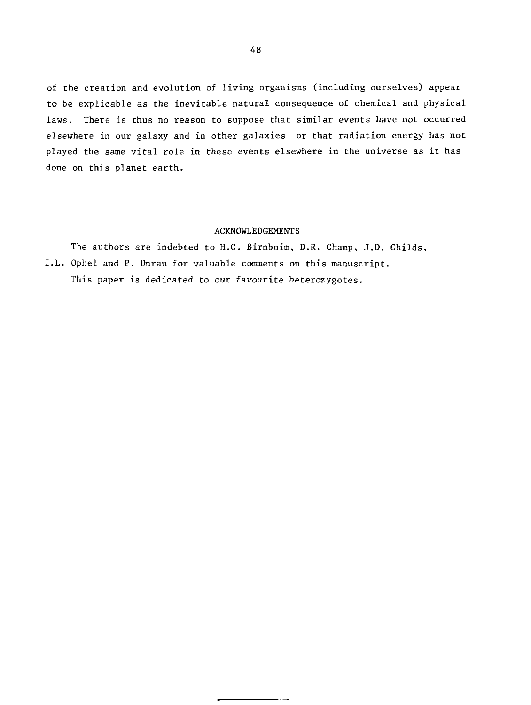of the creation and evolution of living organisms (including ourselves) appear to be explicable as the inevitable natural consequence of chemical and physical laws. There is thus no reason to suppose that similar events have not occurred elsewhere in our galaxy and in other galaxies or that radiation energy has not played the same vital role in these events elsewhere in the universe as it has done on this planet earth.

# ACKNOWLEDGEMENTS

The authors are indebted to H.C. Birnboim, D.R. Champ, J.D. Childs, I.L. Ophel and P. Unrau for valuable comments on this manuscript. This paper is dedicated to our favourite heterozygotes.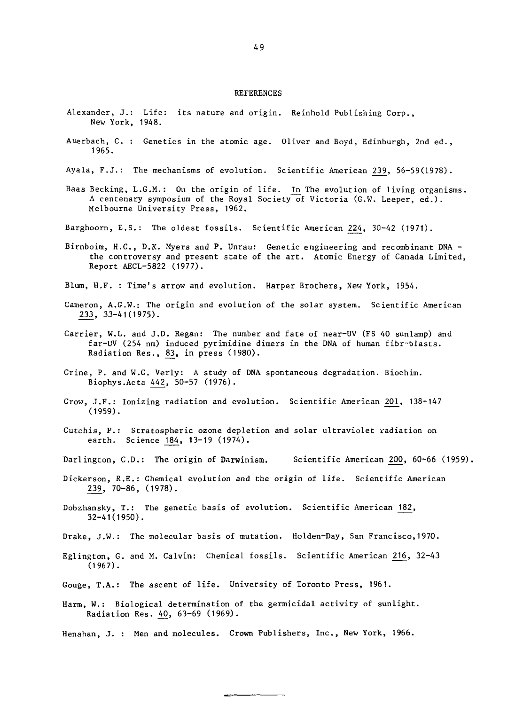#### REFERENCES

- Alexander, J.: Life: its nature and origin. Reinhold Publishing Corp., New York, 1948.
- Auerbach, C. : Genetics in the atomic age. Oliver and Boyd, Edinburgh, 2nd ed., 1965.
- Ayala, F.J.: The mechanisms of evolution. Scientific American 239, 56-59(1978).
- Baas Becking, L.G.M.: On the origin of life. In The evolution of living organisms. A centenary symposium of the Royal Society of Victoria (G.W. Leeper, ed.). Melbourne University Press, 1962.
- Barghoorn, E.S.: The oldest fossils. Scientific American 2^24, 30-42 (1971).
- Birnboim, H.C., D.K. Myers and P. Unrau: Genetic engineering and recombinant DNA the controversy and present state of the art. Atomic Energy of Canada Limited, Report AECL-5822 (1977).
- Blum, H.F. : Time's arrow and evolution. Harper Brothers, New York, 1954.
- Cameron, A.G.W.: The origin and evolution of the solar system. Scientific American 233, 33-41(1975).
- Carrier, W.L. and J.D. Regan: The number and fate of near-UV (FS 40 sunlamp) and far-UV (254 nm) induced pyrimidine dimers in the DNA of human fibr-blasts. Radiation Res., 83, in press (1980).
- Crine, P. and W.G. Verly: A study of DNA spontaneous degradation. Biochim. Biophys.Acta 442, 50-57 (1976).
- Crow, J.F.: Ionizing radiation and evolution. Scientific American 201, 138-147 (1959).
- Cutchis, P.: Stratospheric ozone depletion and solar ultraviolet radiation on earth. Science J84, 13-19 (1974).
- Darlington, C.D.: The origin of Darwinism. Scientific American 200, 60-66 (1959).
- Dickerson, R.E.: Chemical evolution and the origin of life. Scientific American 239, 70-86, (1978).
- Dobzhansky, T.: The genetic basis of evolution. Scientific American 182, 32-41(1950).
- Drake, J.W.: The molecular basis of mutation. Holden-Day, San Francisco,1970.
- Eglington, G. and M. Calvin: Chemical fossils. Scientific American 216, 32-43 (1967).
- Gouge, T.A.: The ascent of life. University of Toronto Press, 1961.
- Harm, W.: Biological determination of the germicidal activity of sunlight. Radiation Res. 40, 63-69 (1969).
- Henahan, J. : Men and molecules. Crown Publishers, Inc., New York, 1966.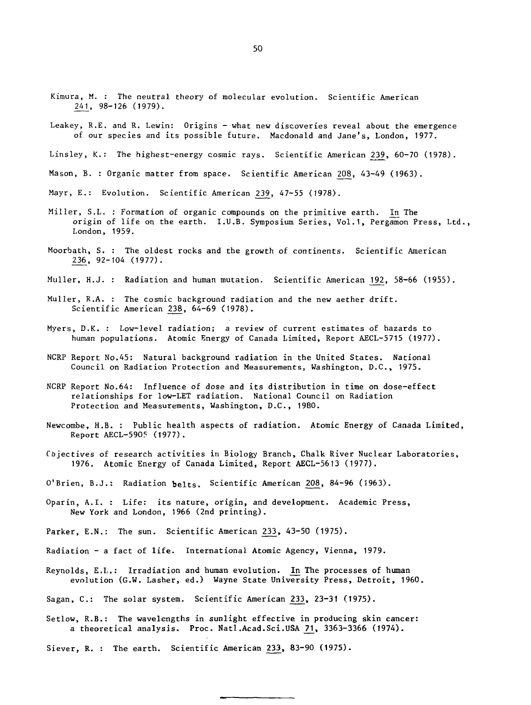- Kimura, M. : The neutral theory of molecular evolution. Scientific American 241, 98-126 (1979).
- Leakey, R.E. and R. Lewin: Origins what new discoveries reveal about the emergence of our species and its possible future. Macdonald and Jane's, London, 1977.
- Linsley, K.: The highest-energy cosmic rays. Scientific American 239, 60-70 (1978).
- Mason, B. : Organic matter from space. Scientific American 208, 43-49 (1963).

Mayr, E.: Evolution. Scientific American 239, 47-55 (1978).

- Miller, S.L. : Formation of organic compounds on the primitive earth. In The origin of life on the earth. I.U.B. Symposium Series, Vol.1, Pergamon Press, Ltd., London, 1959.
- Moorbath, S. : The oldest rocks and the growth of continents. Scientific American 236, 92-104 (1977).
- Muller, H.J. : Radiation and human mutation. Scientific American 192, 58-66 (1955).
- Muller, R.A. : The cosmic background radiation and the new aether drift. Scientific American 238, 64-69 (1978).
- Myers, D.K. : Low-level radiation; a review of current estimates of hazards to human populations. Atomic Energy of Canada Limited, Report AECL-5715 (1977).
- NCRP Report No.45: Natural background radiation in the United States. National Council on Radiation Protection and Measurements, Washington, D.C., 1975.
- NCRP Report No.64: Influence of dose and its distribution in time on dose-effect relationships for low-LET radiation. National Council on Radiation Protection and Measurements, Washington, D.C., 1980.
- Newcombe, H.B. : Public health aspects of radiation. Atomic Energy of Canada Limited, Report AECL-590? (1977).
- Objectives of research activities in Biology Branch, Chalk River Nuclear Laboratories, 1976. Atomic Energy of Canada Limited, Report AECL-5613 (1977).
- O'Brien, B.J.: Radiation  $b$ elts. Scientific American 208, 84-96 (1963).
- Oparin, A.I. : Life: its nature, origin, and development. Academic Press, New York and London, 1966 (2nd printing).
- Parker, E.N.: The sun. Scientific American 233, 43-50 (1975).
- Radiation a fact of life. International Atomic Agency, Vienna, 1979.
- Reynolds, E.L.: Irradiation and human evolution. In The processes of human evolution (G.W. Lasher, ed.) Wayne State University Press, Detroit, 1960.
- Sagan, C.: The solar system. Scientific American 233, 23-31 (1975).
- Setlow, R.B.: The wavelengths in sunlight effective in producing skin cancer: a theoretical analysis. Proc. Natl.Acad.Sci.USA 21. 3363-3366 (1974).
- Siever, R. : The earth. Scientific American 233, 83-90 (1975).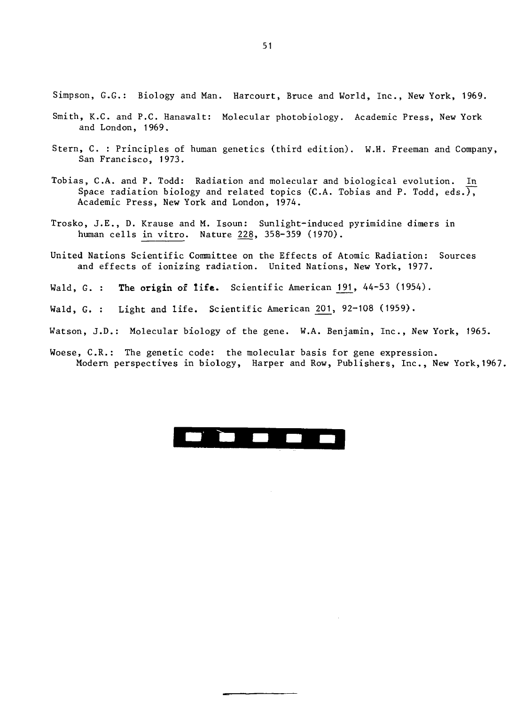Simpson, G.G.: Biology and Man. Harcourt, Bruce and World, Inc., New York, 1969.

- Smith, K.C. and P.C. Hanawalt: Molecular photobiology. Academic Press, New York and London, 1969.
- Stern, C. : Principles of human genetics (third edition). W.H. Freeman and Company, San Francisco, 1973.
- Tobias, C.A. and P. Todd: Radiation and molecular and biological evolution. I\_n Space radiation biology and related topics (C.A. Tobias and P. Todd, eds.), Academic Press, New York and London, 197A.
- Trosko, J.E., D. Krause and M. Isoun: Sunlight-induced pyrimidine dimers in human cells in vitro. Nature ^28, 358-359 (1970).
- United Nations Scientific Committee on the Effects of Atomic Radiation: Sources and effects of ionizing radiation. United Nations, New York, 1977.
- Wald, G. : **The origin of life.** Scientific American 191, 44-53 (1954).
- Wald, G. : Light and life. Scientific American  $201$ ,  $92-108$  (1959).
- Watson, J.D.: Molecular biology of the gene. W.A. Benjamin, Inc., New York, 1965.
- Woese, C.R.: The genetic code: the molecular basis for gene expression. Modern perspectives in biology, Harper and Row, Publishers, Inc., New York,1967.